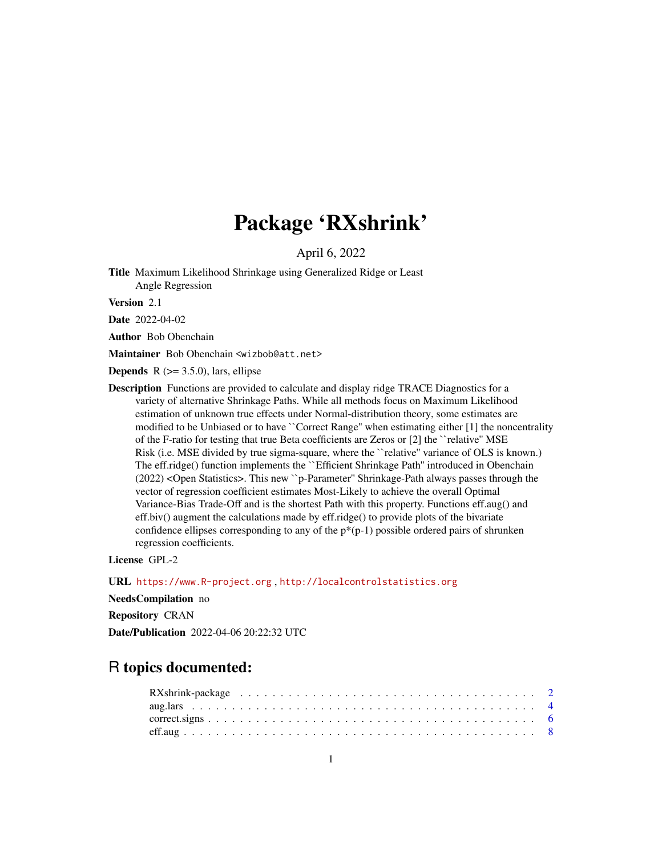# Package 'RXshrink'

April 6, 2022

<span id="page-0-0"></span>Title Maximum Likelihood Shrinkage using Generalized Ridge or Least Angle Regression

Version 2.1

Date 2022-04-02

Author Bob Obenchain

Maintainer Bob Obenchain <wizbob@att.net>

**Depends** R  $(>= 3.5.0)$ , lars, ellipse

Description Functions are provided to calculate and display ridge TRACE Diagnostics for a variety of alternative Shrinkage Paths. While all methods focus on Maximum Likelihood estimation of unknown true effects under Normal-distribution theory, some estimates are modified to be Unbiased or to have "Correct Range" when estimating either [1] the noncentrality of the F-ratio for testing that true Beta coefficients are Zeros or [2] the ``relative'' MSE Risk (i.e. MSE divided by true sigma-square, where the ``relative'' variance of OLS is known.) The eff.ridge() function implements the ``Efficient Shrinkage Path'' introduced in Obenchain (2022) <Open Statistics>. This new ``p-Parameter'' Shrinkage-Path always passes through the vector of regression coefficient estimates Most-Likely to achieve the overall Optimal Variance-Bias Trade-Off and is the shortest Path with this property. Functions eff.aug() and eff.biv() augment the calculations made by eff.ridge() to provide plots of the bivariate confidence ellipses corresponding to any of the  $p^*(p-1)$  possible ordered pairs of shrunken regression coefficients.

License GPL-2

URL <https://www.R-project.org> , <http://localcontrolstatistics.org>

NeedsCompilation no

Repository CRAN

Date/Publication 2022-04-06 20:22:32 UTC

# R topics documented: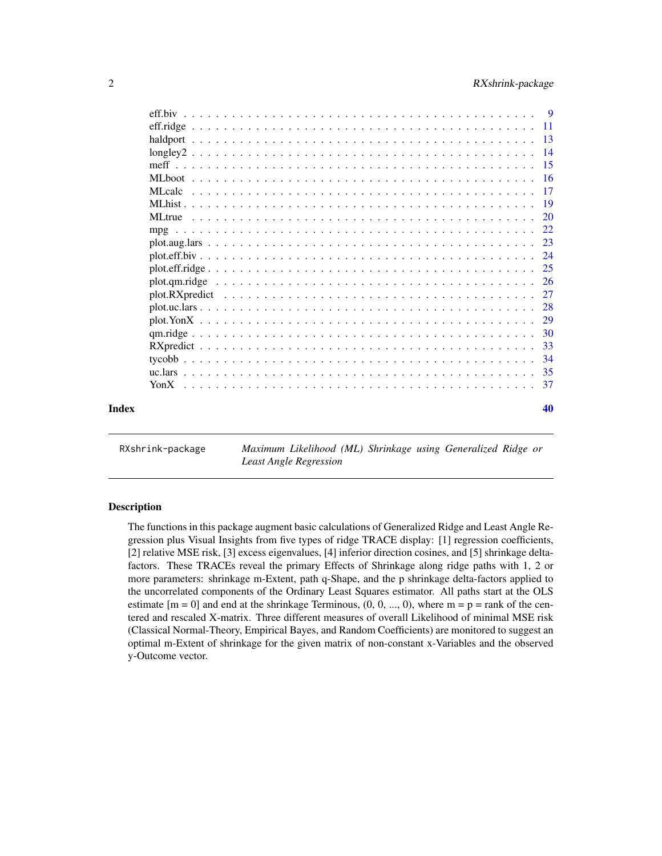<span id="page-1-0"></span>

|       | -29 |
|-------|-----|
|       | -30 |
|       | 33  |
|       | 34  |
|       | 35  |
|       | 37  |
| Index | 40  |

RXshrink-package *Maximum Likelihood (ML) Shrinkage using Generalized Ridge or Least Angle Regression*

# **Description**

The functions in this package augment basic calculations of Generalized Ridge and Least Angle Regression plus Visual Insights from five types of ridge TRACE display: [1] regression coefficients, [2] relative MSE risk, [3] excess eigenvalues, [4] inferior direction cosines, and [5] shrinkage deltafactors. These TRACEs reveal the primary Effects of Shrinkage along ridge paths with 1, 2 or more parameters: shrinkage m-Extent, path q-Shape, and the p shrinkage delta-factors applied to the uncorrelated components of the Ordinary Least Squares estimator. All paths start at the OLS estimate  $[m = 0]$  and end at the shrinkage Terminous,  $(0, 0, ..., 0)$ , where  $m = p = rank$  of the centered and rescaled X-matrix. Three different measures of overall Likelihood of minimal MSE risk (Classical Normal-Theory, Empirical Bayes, and Random Coefficients) are monitored to suggest an optimal m-Extent of shrinkage for the given matrix of non-constant x-Variables and the observed y-Outcome vector.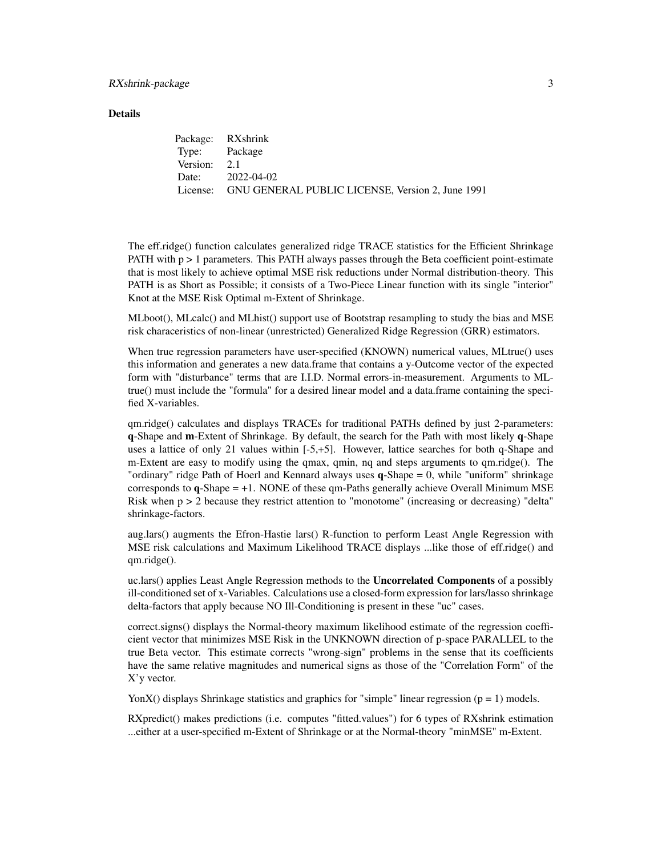#### **Details**

|               | Package: RXshrink                                         |
|---------------|-----------------------------------------------------------|
| Type: Package |                                                           |
| Version: 2.1  |                                                           |
|               | Date: 2022-04-02                                          |
|               | License: GNU GENERAL PUBLIC LICENSE, Version 2, June 1991 |

The eff.ridge() function calculates generalized ridge TRACE statistics for the Efficient Shrinkage PATH with  $p > 1$  parameters. This PATH always passes through the Beta coefficient point-estimate that is most likely to achieve optimal MSE risk reductions under Normal distribution-theory. This PATH is as Short as Possible; it consists of a Two-Piece Linear function with its single "interior" Knot at the MSE Risk Optimal m-Extent of Shrinkage.

MLboot(), MLcalc() and MLhist() support use of Bootstrap resampling to study the bias and MSE risk characeristics of non-linear (unrestricted) Generalized Ridge Regression (GRR) estimators.

When true regression parameters have user-specified (KNOWN) numerical values, MLtrue() uses this information and generates a new data.frame that contains a y-Outcome vector of the expected form with "disturbance" terms that are I.I.D. Normal errors-in-measurement. Arguments to MLtrue() must include the "formula" for a desired linear model and a data.frame containing the specified X-variables.

qm.ridge() calculates and displays TRACEs for traditional PATHs defined by just 2-parameters: q-Shape and m-Extent of Shrinkage. By default, the search for the Path with most likely q-Shape uses a lattice of only 21 values within [-5,+5]. However, lattice searches for both q-Shape and m-Extent are easy to modify using the qmax, qmin, nq and steps arguments to qm.ridge(). The "ordinary" ridge Path of Hoerl and Kennard always uses q-Shape = 0, while "uniform" shrinkage corresponds to  $q$ -Shape  $= +1$ . NONE of these qm-Paths generally achieve Overall Minimum MSE Risk when p > 2 because they restrict attention to "monotome" (increasing or decreasing) "delta" shrinkage-factors.

aug.lars() augments the Efron-Hastie lars() R-function to perform Least Angle Regression with MSE risk calculations and Maximum Likelihood TRACE displays ...like those of eff.ridge() and qm.ridge().

uc.lars() applies Least Angle Regression methods to the Uncorrelated Components of a possibly ill-conditioned set of x-Variables. Calculations use a closed-form expression for lars/lasso shrinkage delta-factors that apply because NO Ill-Conditioning is present in these "uc" cases.

correct.signs() displays the Normal-theory maximum likelihood estimate of the regression coefficient vector that minimizes MSE Risk in the UNKNOWN direction of p-space PARALLEL to the true Beta vector. This estimate corrects "wrong-sign" problems in the sense that its coefficients have the same relative magnitudes and numerical signs as those of the "Correlation Form" of the X'y vector.

YonX() displays Shrinkage statistics and graphics for "simple" linear regression  $(p = 1)$  models.

RXpredict() makes predictions (i.e. computes "fitted.values") for 6 types of RXshrink estimation ...either at a user-specified m-Extent of Shrinkage or at the Normal-theory "minMSE" m-Extent.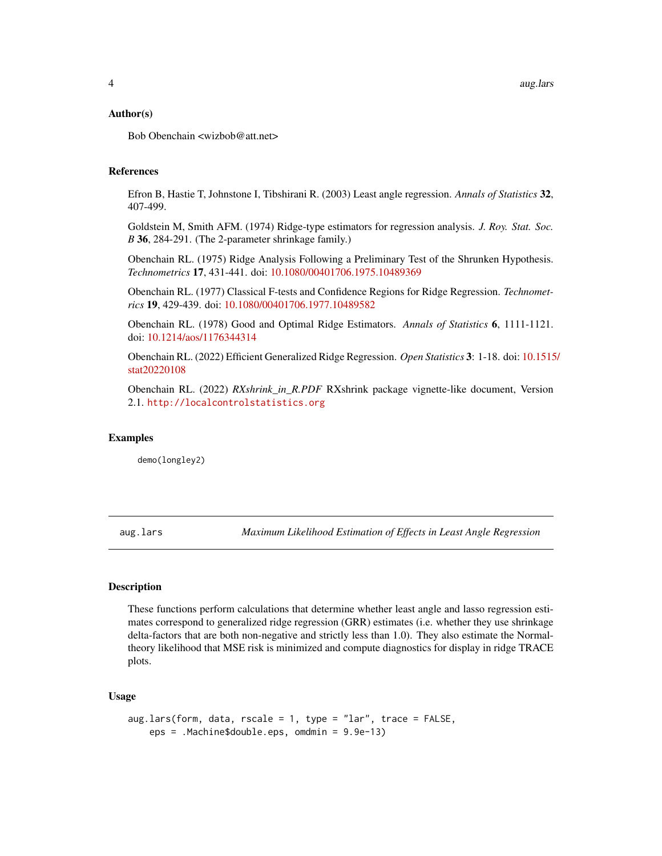#### <span id="page-3-0"></span>Author(s)

Bob Obenchain <wizbob@att.net>

# References

Efron B, Hastie T, Johnstone I, Tibshirani R. (2003) Least angle regression. *Annals of Statistics* 32, 407-499.

Goldstein M, Smith AFM. (1974) Ridge-type estimators for regression analysis. *J. Roy. Stat. Soc. B* 36, 284-291. (The 2-parameter shrinkage family.)

Obenchain RL. (1975) Ridge Analysis Following a Preliminary Test of the Shrunken Hypothesis. *Technometrics* 17, 431-441. doi: [10.1080/00401706.1975.10489369](https://doi.org/10.1080/00401706.1975.10489369)

Obenchain RL. (1977) Classical F-tests and Confidence Regions for Ridge Regression. *Technometrics* 19, 429-439. doi: [10.1080/00401706.1977.10489582](https://doi.org/10.1080/00401706.1977.10489582)

Obenchain RL. (1978) Good and Optimal Ridge Estimators. *Annals of Statistics* 6, 1111-1121. doi: [10.1214/aos/1176344314](https://doi.org/10.1214/aos/1176344314)

Obenchain RL. (2022) Efficient Generalized Ridge Regression. *Open Statistics* 3: 1-18. doi: [10.1515](https://doi.org/10.1515/stat-2022-0108)/ [stat20220108](https://doi.org/10.1515/stat-2022-0108)

Obenchain RL. (2022) *RXshrink\_in\_R.PDF* RXshrink package vignette-like document, Version 2.1. <http://localcontrolstatistics.org>

#### Examples

demo(longley2)

<span id="page-3-1"></span>aug.lars *Maximum Likelihood Estimation of Effects in Least Angle Regression*

# Description

These functions perform calculations that determine whether least angle and lasso regression estimates correspond to generalized ridge regression (GRR) estimates (i.e. whether they use shrinkage delta-factors that are both non-negative and strictly less than 1.0). They also estimate the Normaltheory likelihood that MSE risk is minimized and compute diagnostics for display in ridge TRACE plots.

#### Usage

```
aug.lars(form, data, rscale = 1, type = "lar", trace = FALSE,
   eps = .Machine$double.eps, omdmin = 9.9e-13)
```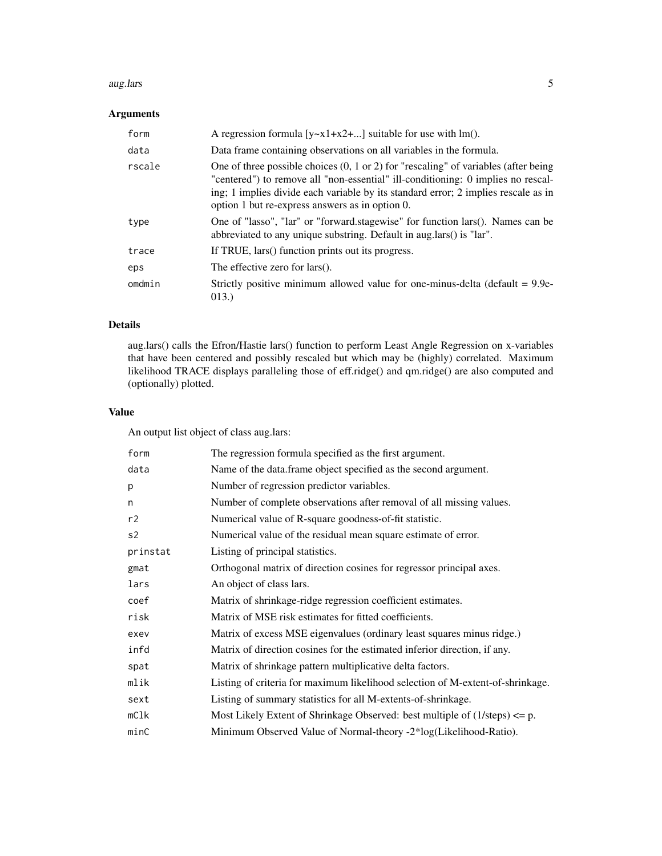#### aug.lars 5

# Arguments

| form   | A regression formula $[y-x1+x2+]$ suitable for use with lm().                                                                                                                                                                                                                                                               |
|--------|-----------------------------------------------------------------------------------------------------------------------------------------------------------------------------------------------------------------------------------------------------------------------------------------------------------------------------|
| data   | Data frame containing observations on all variables in the formula.                                                                                                                                                                                                                                                         |
| rscale | One of three possible choices $(0, 1 \text{ or } 2)$ for "rescaling" of variables (after being<br>"centered") to remove all "non-essential" ill-conditioning: 0 implies no rescal-<br>ing; 1 implies divide each variable by its standard error; 2 implies rescale as in<br>option 1 but re-express answers as in option 0. |
| type   | One of "lasso", "lar" or "forward.stagewise" for function lars(). Names can be<br>abbreviated to any unique substring. Default in aug.lars() is "lar".                                                                                                                                                                      |
| trace  | If TRUE, lars() function prints out its progress.                                                                                                                                                                                                                                                                           |
| eps    | The effective zero for $lars()$ .                                                                                                                                                                                                                                                                                           |
| omdmin | Strictly positive minimum allowed value for one-minus-delta (default $= 9.9e$ -<br>013.                                                                                                                                                                                                                                     |

# Details

aug.lars() calls the Efron/Hastie lars() function to perform Least Angle Regression on x-variables that have been centered and possibly rescaled but which may be (highly) correlated. Maximum likelihood TRACE displays paralleling those of eff.ridge() and qm.ridge() are also computed and (optionally) plotted.

# Value

An output list object of class aug.lars:

| form     | The regression formula specified as the first argument.                                |
|----------|----------------------------------------------------------------------------------------|
| data     | Name of the data.frame object specified as the second argument.                        |
| p        | Number of regression predictor variables.                                              |
| n        | Number of complete observations after removal of all missing values.                   |
| r2       | Numerical value of R-square goodness-of-fit statistic.                                 |
| s2       | Numerical value of the residual mean square estimate of error.                         |
| prinstat | Listing of principal statistics.                                                       |
| gmat     | Orthogonal matrix of direction cosines for regressor principal axes.                   |
| lars     | An object of class lars.                                                               |
| coef     | Matrix of shrinkage-ridge regression coefficient estimates.                            |
| risk     | Matrix of MSE risk estimates for fitted coefficients.                                  |
| exev     | Matrix of excess MSE eigenvalues (ordinary least squares minus ridge.)                 |
| infd     | Matrix of direction cosines for the estimated inferior direction, if any.              |
| spat     | Matrix of shrinkage pattern multiplicative delta factors.                              |
| mlik     | Listing of criteria for maximum likelihood selection of M-extent-of-shrinkage.         |
| sext     | Listing of summary statistics for all M-extents-of-shrinkage.                          |
| mC1k     | Most Likely Extent of Shrinkage Observed: best multiple of $(1/\text{steps}) \leq p$ . |
| minC     | Minimum Observed Value of Normal-theory -2*log(Likelihood-Ratio).                      |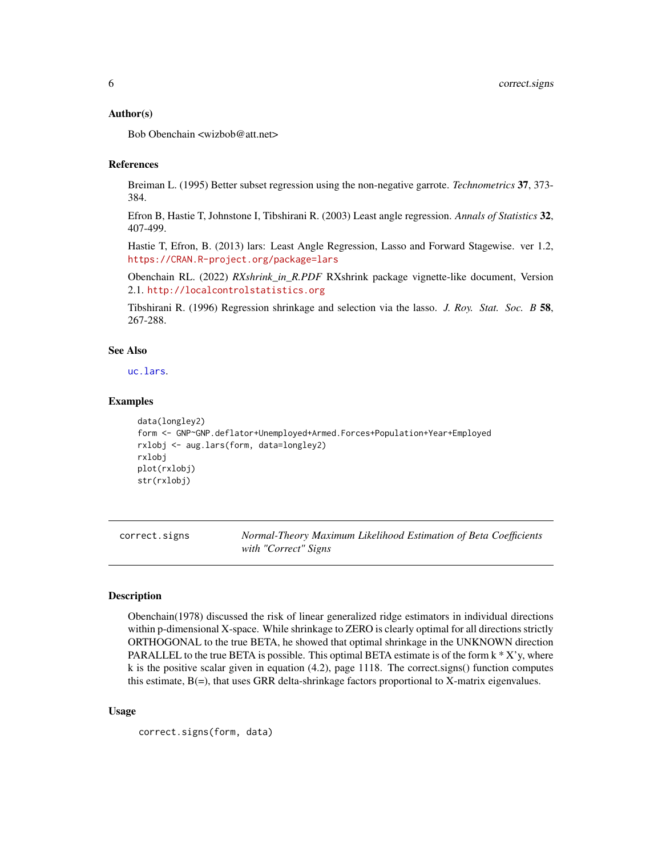#### <span id="page-5-0"></span>Author(s)

Bob Obenchain <wizbob@att.net>

#### References

Breiman L. (1995) Better subset regression using the non-negative garrote. *Technometrics* 37, 373- 384.

Efron B, Hastie T, Johnstone I, Tibshirani R. (2003) Least angle regression. *Annals of Statistics* 32, 407-499.

Hastie T, Efron, B. (2013) lars: Least Angle Regression, Lasso and Forward Stagewise. ver 1.2, <https://CRAN.R-project.org/package=lars>

Obenchain RL. (2022) *RXshrink\_in\_R.PDF* RXshrink package vignette-like document, Version 2.1. <http://localcontrolstatistics.org>

Tibshirani R. (1996) Regression shrinkage and selection via the lasso. *J. Roy. Stat. Soc. B* 58, 267-288.

# See Also

[uc.lars](#page-34-1).

#### Examples

```
data(longley2)
form <- GNP~GNP.deflator+Unemployed+Armed.Forces+Population+Year+Employed
rxlobj <- aug.lars(form, data=longley2)
rxlobj
plot(rxlobj)
str(rxlobj)
```
<span id="page-5-1"></span>correct.signs *Normal-Theory Maximum Likelihood Estimation of Beta Coefficients with "Correct" Signs*

#### Description

Obenchain(1978) discussed the risk of linear generalized ridge estimators in individual directions within p-dimensional X-space. While shrinkage to ZERO is clearly optimal for all directions strictly ORTHOGONAL to the true BETA, he showed that optimal shrinkage in the UNKNOWN direction PARALLEL to the true BETA is possible. This optimal BETA estimate is of the form  $k * X'y$ , where k is the positive scalar given in equation (4.2), page 1118. The correct.signs() function computes this estimate,  $B(=)$ , that uses GRR delta-shrinkage factors proportional to X-matrix eigenvalues.

#### Usage

```
correct.signs(form, data)
```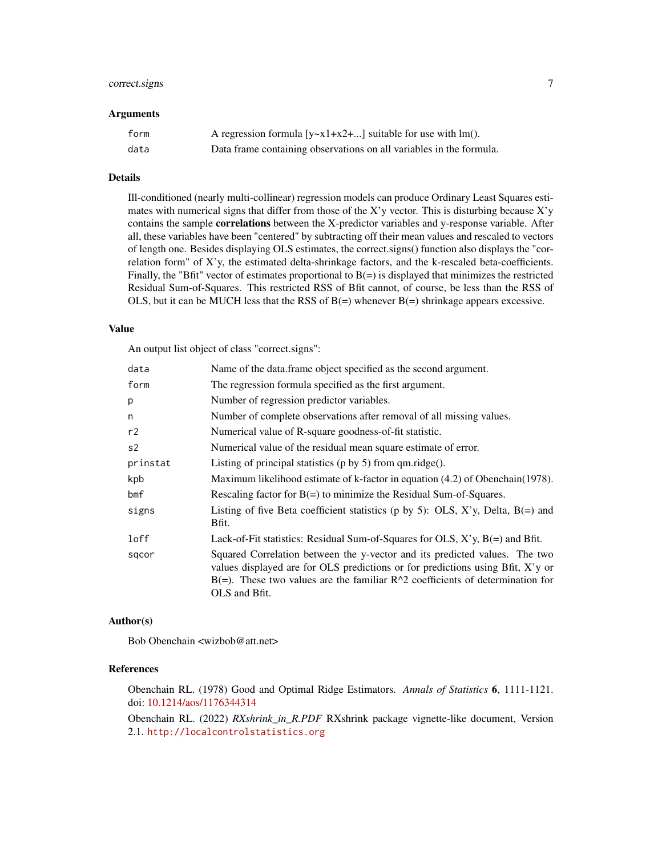# correct.signs 7

#### Arguments

| form | A regression formula $[y-x1+x2+]$ suitable for use with lm().       |
|------|---------------------------------------------------------------------|
| data | Data frame containing observations on all variables in the formula. |

# Details

Ill-conditioned (nearly multi-collinear) regression models can produce Ordinary Least Squares estimates with numerical signs that differ from those of the X'y vector. This is disturbing because X'y contains the sample **correlations** between the X-predictor variables and y-response variable. After all, these variables have been "centered" by subtracting off their mean values and rescaled to vectors of length one. Besides displaying OLS estimates, the correct.signs() function also displays the "correlation form" of X'y, the estimated delta-shrinkage factors, and the k-rescaled beta-coefficients. Finally, the "Bfit" vector of estimates proportional to  $B(=)$  is displayed that minimizes the restricted Residual Sum-of-Squares. This restricted RSS of Bfit cannot, of course, be less than the RSS of OLS, but it can be MUCH less that the RSS of  $B(=)$  whenever  $B(=)$  shrinkage appears excessive.

#### Value

An output list object of class "correct.signs":

| data           | Name of the data.frame object specified as the second argument.                                                                                                                                                                                                     |
|----------------|---------------------------------------------------------------------------------------------------------------------------------------------------------------------------------------------------------------------------------------------------------------------|
| form           | The regression formula specified as the first argument.                                                                                                                                                                                                             |
| p              | Number of regression predictor variables.                                                                                                                                                                                                                           |
| n              | Number of complete observations after removal of all missing values.                                                                                                                                                                                                |
| r2             | Numerical value of R-square goodness-of-fit statistic.                                                                                                                                                                                                              |
| s <sub>2</sub> | Numerical value of the residual mean square estimate of error.                                                                                                                                                                                                      |
| prinstat       | Listing of principal statistics ( $p$ by 5) from $qm.ridge()$ .                                                                                                                                                                                                     |
| kpb            | Maximum likelihood estimate of k-factor in equation (4.2) of Obenchain(1978).                                                                                                                                                                                       |
| bmf            | Rescaling factor for $B(=)$ to minimize the Residual Sum-of-Squares.                                                                                                                                                                                                |
| signs          | Listing of five Beta coefficient statistics (p by 5): OLS, X'y, Delta, $B(=)$ and<br>Bfit.                                                                                                                                                                          |
| loff           | Lack-of-Fit statistics: Residual Sum-of-Squares for OLS, $X$ 'y, $B$ (=) and Bfit.                                                                                                                                                                                  |
| sqcor          | Squared Correlation between the y-vector and its predicted values. The two<br>values displayed are for OLS predictions or for predictions using Bfit, X'y or<br>$B(=)$ . These two values are the familiar $R^2$ coefficients of determination for<br>OLS and Bfit. |

#### Author(s)

Bob Obenchain <wizbob@att.net>

#### References

Obenchain RL. (1978) Good and Optimal Ridge Estimators. *Annals of Statistics* 6, 1111-1121. doi: [10.1214/aos/1176344314](https://doi.org/10.1214/aos/1176344314)

Obenchain RL. (2022) *RXshrink\_in\_R.PDF* RXshrink package vignette-like document, Version 2.1. <http://localcontrolstatistics.org>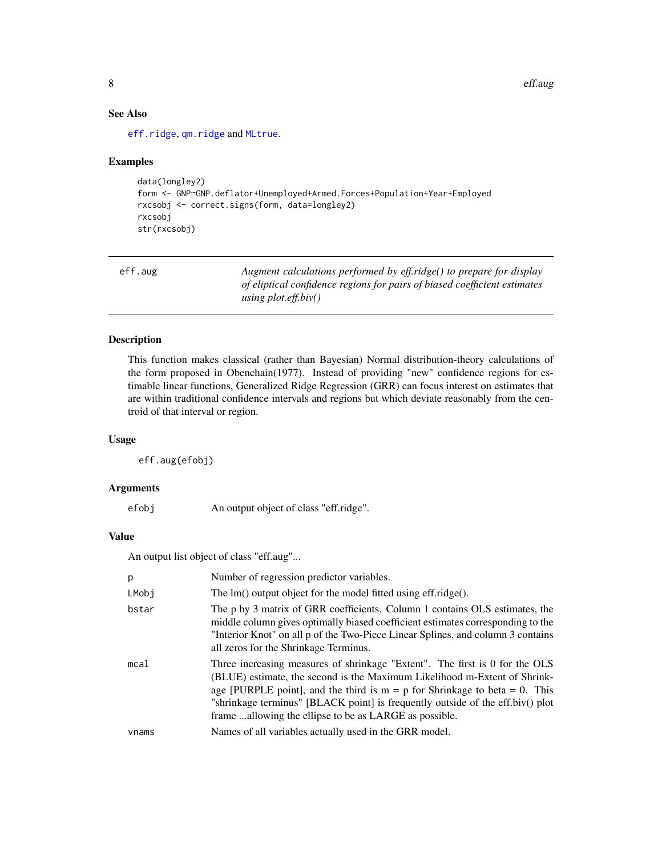8 eff.aug. **8** eff.aug. **1999** eff.aug. **1999** eff.aug. **1999** eff.aug. **1999** eff.aug. **1999** 

# See Also

[eff.ridge](#page-10-1), [qm.ridge](#page-29-1) and [MLtrue](#page-19-1).

# Examples

```
data(longley2)
form <- GNP~GNP.deflator+Unemployed+Armed.Forces+Population+Year+Employed
rxcsobj <- correct.signs(form, data=longley2)
rxcsobj
str(rxcsobj)
```
<span id="page-7-1"></span>

| eff.aug | Augment calculations performed by eff.ridge() to prepare for display      |
|---------|---------------------------------------------------------------------------|
|         | of eliptical confidence regions for pairs of biased coefficient estimates |
|         | using plot.eff.biv()                                                      |

# Description

This function makes classical (rather than Bayesian) Normal distribution-theory calculations of the form proposed in Obenchain(1977). Instead of providing "new" confidence regions for estimable linear functions, Generalized Ridge Regression (GRR) can focus interest on estimates that are within traditional confidence intervals and regions but which deviate reasonably from the centroid of that interval or region.

# Usage

eff.aug(efobj)

# Arguments

| efobj | An output object of class "eff.ridge". |  |  |
|-------|----------------------------------------|--|--|
|       |                                        |  |  |

# Value

An output list object of class "eff.aug"...

| p     | Number of regression predictor variables.                                                                                                                                                                                                                                                                                                                                            |
|-------|--------------------------------------------------------------------------------------------------------------------------------------------------------------------------------------------------------------------------------------------------------------------------------------------------------------------------------------------------------------------------------------|
| LMobi | The $Im()$ output object for the model fitted using eff.ridge $()$ .                                                                                                                                                                                                                                                                                                                 |
| bstar | The p by 3 matrix of GRR coefficients. Column 1 contains OLS estimates, the<br>middle column gives optimally biased coefficient estimates corresponding to the<br>"Interior Knot" on all p of the Two-Piece Linear Splines, and column 3 contains<br>all zeros for the Shrinkage Terminus.                                                                                           |
| mcal  | Three increasing measures of shrinkage "Extent". The first is 0 for the OLS<br>(BLUE) estimate, the second is the Maximum Likelihood m-Extent of Shrink-<br>age [PURPLE point], and the third is $m = p$ for Shrinkage to beta = 0. This<br>"shrinkage terminus" [BLACK point] is frequently outside of the eff.biv() plot<br>frame allowing the ellipse to be as LARGE as possible. |
| vnams | Names of all variables actually used in the GRR model.                                                                                                                                                                                                                                                                                                                               |

<span id="page-7-0"></span>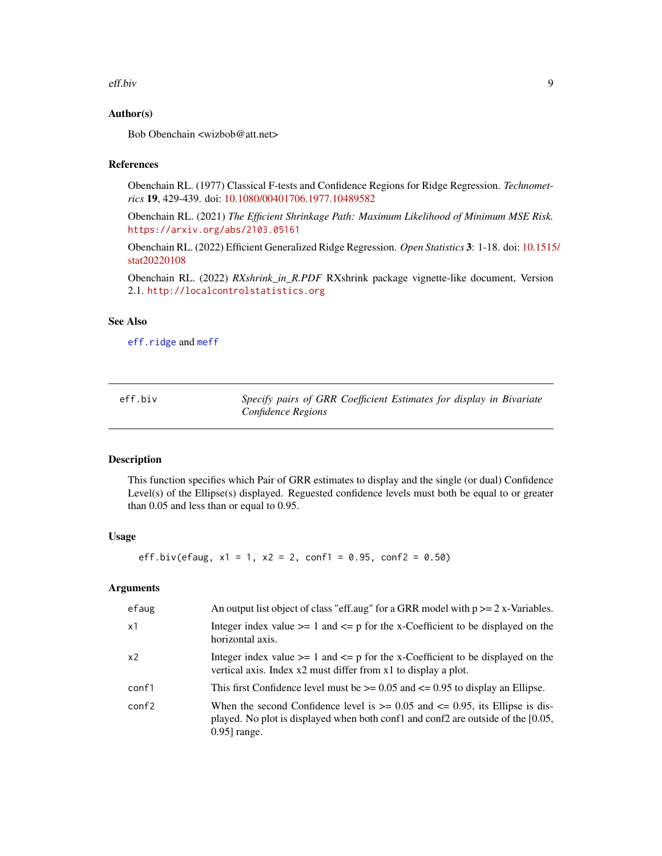#### <span id="page-8-0"></span>eff.biv 9

# Author(s)

Bob Obenchain <wizbob@att.net>

#### References

Obenchain RL. (1977) Classical F-tests and Confidence Regions for Ridge Regression. *Technometrics* 19, 429-439. doi: [10.1080/00401706.1977.10489582](https://doi.org/10.1080/00401706.1977.10489582)

Obenchain RL. (2021) *The Efficient Shrinkage Path: Maximum Likelihood of Minimum MSE Risk.* <https://arxiv.org/abs/2103.05161>

Obenchain RL. (2022) Efficient Generalized Ridge Regression. *Open Statistics* 3: 1-18. doi: [10.1515](https://doi.org/10.1515/stat-2022-0108)/ [stat20220108](https://doi.org/10.1515/stat-2022-0108)

Obenchain RL. (2022) *RXshrink\_in\_R.PDF* RXshrink package vignette-like document, Version 2.1. <http://localcontrolstatistics.org>

#### See Also

[eff.ridge](#page-10-1) and [meff](#page-14-1)

eff.biv *Specify pairs of GRR Coefficient Estimates for display in Bivariate Confidence Regions*

#### Description

This function specifies which Pair of GRR estimates to display and the single (or dual) Confidence Level(s) of the Ellipse(s) displayed. Reguested confidence levels must both be equal to or greater than 0.05 and less than or equal to 0.95.

#### Usage

eff.biv(efaug,  $x1 = 1$ ,  $x2 = 2$ , conf1 = 0.95, conf2 = 0.50)

# Arguments

| efaug | An output list object of class "eff.aug" for a GRR model with $p \ge 2$ x-Variables.                                                                                                        |
|-------|---------------------------------------------------------------------------------------------------------------------------------------------------------------------------------------------|
| x1    | Integer index value $>= 1$ and $<= p$ for the x-Coefficient to be displayed on the<br>horizontal axis.                                                                                      |
| x2    | Integer index value $>= 1$ and $<= p$ for the x-Coefficient to be displayed on the<br>vertical axis. Index x2 must differ from x1 to display a plot.                                        |
| conf1 | This first Confidence level must be $\ge$ = 0.05 and $\le$ = 0.95 to display an Ellipse.                                                                                                    |
| conf2 | When the second Confidence level is $\ge$ = 0.05 and $\le$ 0.95, its Ellipse is dis-<br>played. No plot is displayed when both conf1 and conf2 are outside of the [0.05,<br>$0.95$ ] range. |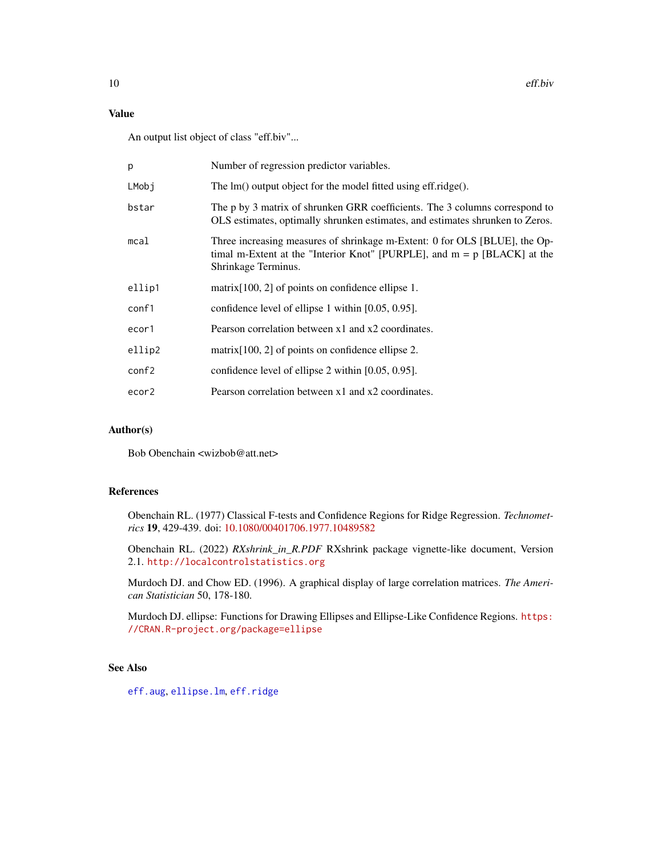# <span id="page-9-0"></span>Value

An output list object of class "eff.biv"...

| p      | Number of regression predictor variables.                                                                                                                                       |
|--------|---------------------------------------------------------------------------------------------------------------------------------------------------------------------------------|
| LMobj  | The $Im()$ output object for the model fitted using eff.ridge $()$ .                                                                                                            |
| bstar  | The p by 3 matrix of shrunken GRR coefficients. The 3 columns correspond to<br>OLS estimates, optimally shrunken estimates, and estimates shrunken to Zeros.                    |
| mca1   | Three increasing measures of shrinkage m-Extent: 0 for OLS [BLUE], the Op-<br>timal m-Extent at the "Interior Knot" [PURPLE], and $m = p$ [BLACK] at the<br>Shrinkage Terminus. |
| ellip1 | $matrix[100, 2]$ of points on confidence ellipse 1.                                                                                                                             |
| conf1  | confidence level of ellipse 1 within [0.05, 0.95].                                                                                                                              |
| ecor1  | Pearson correlation between x1 and x2 coordinates.                                                                                                                              |
| ellip2 | $matrix[100, 2]$ of points on confidence ellipse 2.                                                                                                                             |
| conf2  | confidence level of ellipse 2 within [0.05, 0.95].                                                                                                                              |
| ecor2  | Pearson correlation between x1 and x2 coordinates.                                                                                                                              |

# Author(s)

Bob Obenchain <wizbob@att.net>

# References

Obenchain RL. (1977) Classical F-tests and Confidence Regions for Ridge Regression. *Technometrics* 19, 429-439. doi: [10.1080/00401706.1977.10489582](https://doi.org/10.1080/00401706.1977.10489582)

Obenchain RL. (2022) *RXshrink\_in\_R.PDF* RXshrink package vignette-like document, Version 2.1. <http://localcontrolstatistics.org>

Murdoch DJ. and Chow ED. (1996). A graphical display of large correlation matrices. *The American Statistician* 50, 178-180.

Murdoch DJ. ellipse: Functions for Drawing Ellipses and Ellipse-Like Confidence Regions. [https:](https://CRAN.R-project.org/package=ellipse) [//CRAN.R-project.org/package=ellipse](https://CRAN.R-project.org/package=ellipse)

# See Also

[eff.aug](#page-7-1), [ellipse.lm](#page-0-0), [eff.ridge](#page-10-1)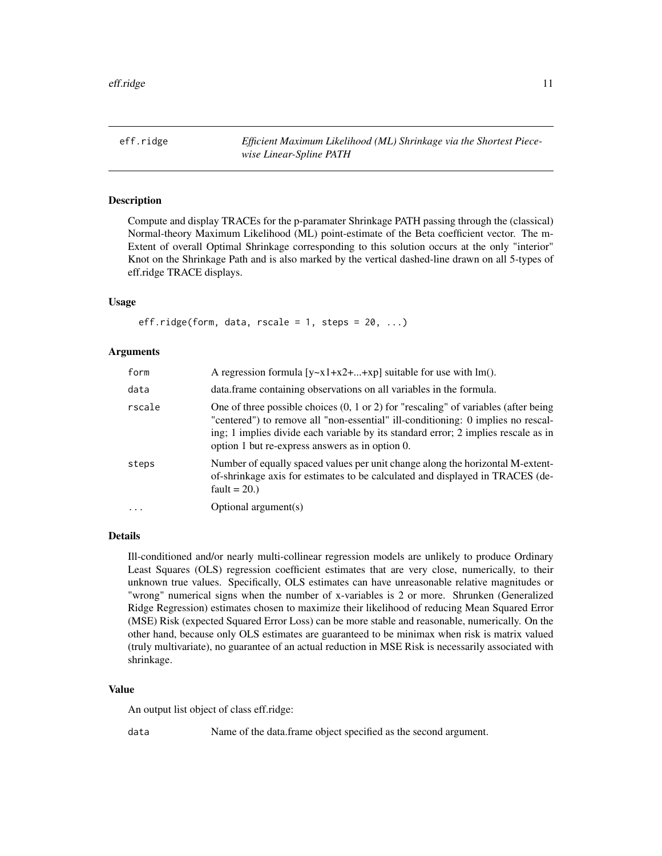<span id="page-10-1"></span><span id="page-10-0"></span>eff.ridge *Efficient Maximum Likelihood (ML) Shrinkage via the Shortest Piecewise Linear-Spline PATH*

# **Description**

Compute and display TRACEs for the p-paramater Shrinkage PATH passing through the (classical) Normal-theory Maximum Likelihood (ML) point-estimate of the Beta coefficient vector. The m-Extent of overall Optimal Shrinkage corresponding to this solution occurs at the only "interior" Knot on the Shrinkage Path and is also marked by the vertical dashed-line drawn on all 5-types of eff.ridge TRACE displays.

# Usage

```
eff.ridge(form, data, rscale = 1, steps = 20, ...)
```
#### Arguments

| form     | A regression formula $[y-x1+x2++xp]$ suitable for use with lm().                                                                                                                                                                                                                                                            |
|----------|-----------------------------------------------------------------------------------------------------------------------------------------------------------------------------------------------------------------------------------------------------------------------------------------------------------------------------|
| data     | data. frame containing observations on all variables in the formula.                                                                                                                                                                                                                                                        |
| rscale   | One of three possible choices $(0, 1 \text{ or } 2)$ for "rescaling" of variables (after being<br>"centered") to remove all "non-essential" ill-conditioning: 0 implies no rescal-<br>ing; 1 implies divide each variable by its standard error; 2 implies rescale as in<br>option 1 but re-express answers as in option 0. |
| steps    | Number of equally spaced values per unit change along the horizontal M-extent-<br>of-shrinkage axis for estimates to be calculated and displayed in TRACES (de-<br>fault = $20.$ )                                                                                                                                          |
| $\cdots$ | Optional argument(s)                                                                                                                                                                                                                                                                                                        |

#### Details

Ill-conditioned and/or nearly multi-collinear regression models are unlikely to produce Ordinary Least Squares (OLS) regression coefficient estimates that are very close, numerically, to their unknown true values. Specifically, OLS estimates can have unreasonable relative magnitudes or "wrong" numerical signs when the number of x-variables is 2 or more. Shrunken (Generalized Ridge Regression) estimates chosen to maximize their likelihood of reducing Mean Squared Error (MSE) Risk (expected Squared Error Loss) can be more stable and reasonable, numerically. On the other hand, because only OLS estimates are guaranteed to be minimax when risk is matrix valued (truly multivariate), no guarantee of an actual reduction in MSE Risk is necessarily associated with shrinkage.

#### Value

An output list object of class eff.ridge:

data Name of the data.frame object specified as the second argument.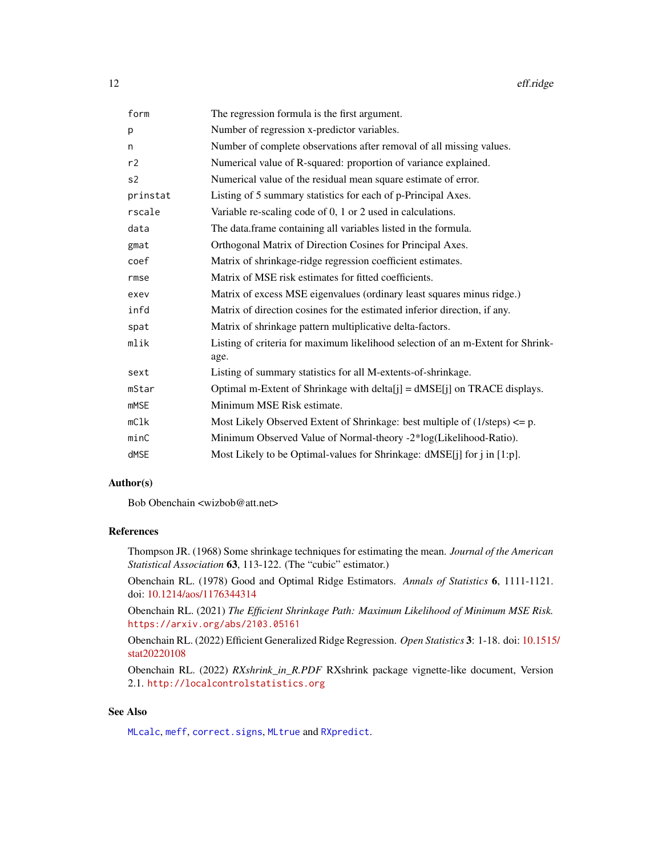<span id="page-11-0"></span>

| form           | The regression formula is the first argument.                                           |
|----------------|-----------------------------------------------------------------------------------------|
| р              | Number of regression x-predictor variables.                                             |
| n              | Number of complete observations after removal of all missing values.                    |
| r2             | Numerical value of R-squared: proportion of variance explained.                         |
| s <sub>2</sub> | Numerical value of the residual mean square estimate of error.                          |
| prinstat       | Listing of 5 summary statistics for each of p-Principal Axes.                           |
| rscale         | Variable re-scaling code of 0, 1 or 2 used in calculations.                             |
| data           | The data frame containing all variables listed in the formula.                          |
| gmat           | Orthogonal Matrix of Direction Cosines for Principal Axes.                              |
| coef           | Matrix of shrinkage-ridge regression coefficient estimates.                             |
| rmse           | Matrix of MSE risk estimates for fitted coefficients.                                   |
| exev           | Matrix of excess MSE eigenvalues (ordinary least squares minus ridge.)                  |
| infd           | Matrix of direction cosines for the estimated inferior direction, if any.               |
| spat           | Matrix of shrinkage pattern multiplicative delta-factors.                               |
| mlik           | Listing of criteria for maximum likelihood selection of an m-Extent for Shrink-<br>age. |
| sext           | Listing of summary statistics for all M-extents-of-shrinkage.                           |
| mStar          | Optimal m-Extent of Shrinkage with delta[j] = dMSE[j] on TRACE displays.                |
| <b>mMSE</b>    | Minimum MSE Risk estimate.                                                              |
| mClk           | Most Likely Observed Extent of Shrinkage: best multiple of $(1/\text{steps}) \leq p$ .  |
| minC           | Minimum Observed Value of Normal-theory -2*log(Likelihood-Ratio).                       |
| dMSE           | Most Likely to be Optimal-values for Shrinkage: dMSE[j] for j in [1:p].                 |

# Author(s)

Bob Obenchain <wizbob@att.net>

# References

Thompson JR. (1968) Some shrinkage techniques for estimating the mean. *Journal of the American Statistical Association* 63, 113-122. (The "cubic" estimator.)

Obenchain RL. (1978) Good and Optimal Ridge Estimators. *Annals of Statistics* 6, 1111-1121. doi: [10.1214/aos/1176344314](https://doi.org/10.1214/aos/1176344314)

Obenchain RL. (2021) *The Efficient Shrinkage Path: Maximum Likelihood of Minimum MSE Risk.* <https://arxiv.org/abs/2103.05161>

Obenchain RL. (2022) Efficient Generalized Ridge Regression. *Open Statistics* 3: 1-18. doi: [10.1515](https://doi.org/10.1515/stat-2022-0108)/ [stat20220108](https://doi.org/10.1515/stat-2022-0108)

Obenchain RL. (2022) *RXshrink\_in\_R.PDF* RXshrink package vignette-like document, Version 2.1. <http://localcontrolstatistics.org>

# See Also

[MLcalc](#page-16-1), [meff](#page-14-1), [correct.signs](#page-5-1), [MLtrue](#page-19-1) and [RXpredict](#page-32-1).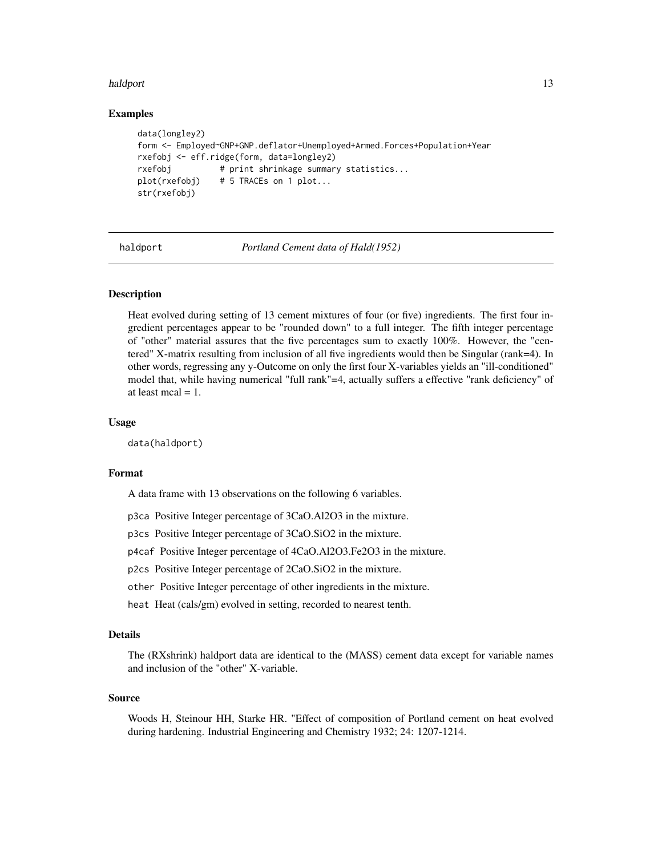#### <span id="page-12-0"></span>haldport and the contract of the contract of the contract of the contract of the contract of the contract of the contract of the contract of the contract of the contract of the contract of the contract of the contract of t

#### Examples

```
data(longley2)
form <- Employed~GNP+GNP.deflator+Unemployed+Armed.Forces+Population+Year
rxefobj <- eff.ridge(form, data=longley2)
rxefobj # print shrinkage summary statistics...
plot(rxefobj) # 5 TRACEs on 1 plot...
str(rxefobj)
```
haldport *Portland Cement data of Hald(1952)*

# **Description**

Heat evolved during setting of 13 cement mixtures of four (or five) ingredients. The first four ingredient percentages appear to be "rounded down" to a full integer. The fifth integer percentage of "other" material assures that the five percentages sum to exactly 100%. However, the "centered" X-matrix resulting from inclusion of all five ingredients would then be Singular (rank=4). In other words, regressing any y-Outcome on only the first four X-variables yields an "ill-conditioned" model that, while having numerical "full rank"=4, actually suffers a effective "rank deficiency" of at least mcal  $= 1$ .

# Usage

data(haldport)

#### Format

A data frame with 13 observations on the following 6 variables.

p3ca Positive Integer percentage of 3CaO.Al2O3 in the mixture.

p3cs Positive Integer percentage of 3CaO.SiO2 in the mixture.

p4caf Positive Integer percentage of 4CaO.Al2O3.Fe2O3 in the mixture.

p2cs Positive Integer percentage of 2CaO.SiO2 in the mixture.

other Positive Integer percentage of other ingredients in the mixture.

heat Heat (cals/gm) evolved in setting, recorded to nearest tenth.

# Details

The (RXshrink) haldport data are identical to the (MASS) cement data except for variable names and inclusion of the "other" X-variable.

#### Source

Woods H, Steinour HH, Starke HR. "Effect of composition of Portland cement on heat evolved during hardening. Industrial Engineering and Chemistry 1932; 24: 1207-1214.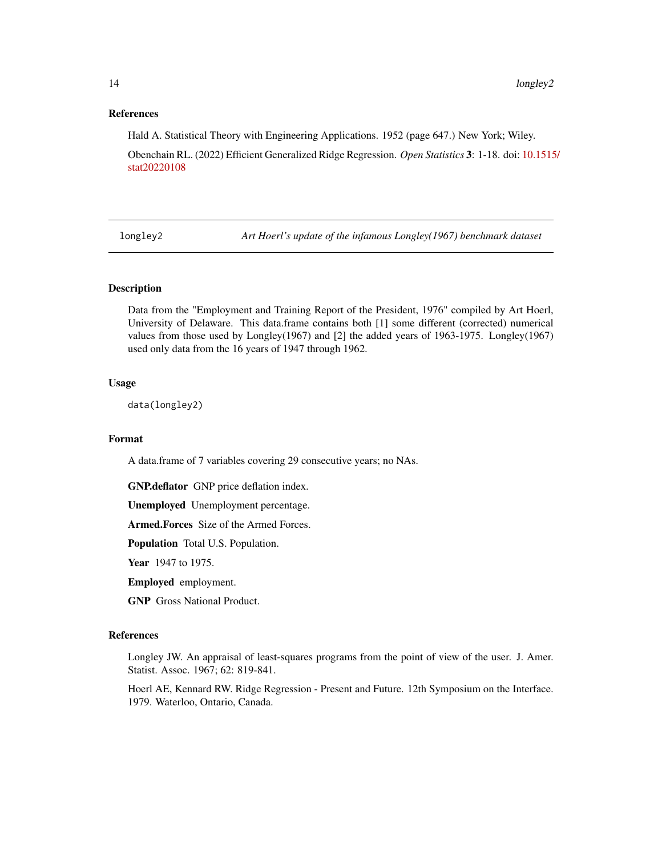# <span id="page-13-0"></span>References

Hald A. Statistical Theory with Engineering Applications. 1952 (page 647.) New York; Wiley.

Obenchain RL. (2022) Efficient Generalized Ridge Regression. *Open Statistics* 3: 1-18. doi: [10.1515](https://doi.org/10.1515/stat-2022-0108)/ [stat20220108](https://doi.org/10.1515/stat-2022-0108)

longley2 *Art Hoerl's update of the infamous Longley(1967) benchmark dataset*

#### Description

Data from the "Employment and Training Report of the President, 1976" compiled by Art Hoerl, University of Delaware. This data.frame contains both [1] some different (corrected) numerical values from those used by Longley(1967) and [2] the added years of 1963-1975. Longley(1967) used only data from the 16 years of 1947 through 1962.

#### Usage

data(longley2)

# Format

A data.frame of 7 variables covering 29 consecutive years; no NAs.

GNP.deflator GNP price deflation index.

Unemployed Unemployment percentage.

Armed.Forces Size of the Armed Forces.

Population Total U.S. Population.

Year 1947 to 1975.

Employed employment.

GNP Gross National Product.

# References

Longley JW. An appraisal of least-squares programs from the point of view of the user. J. Amer. Statist. Assoc. 1967; 62: 819-841.

Hoerl AE, Kennard RW. Ridge Regression - Present and Future. 12th Symposium on the Interface. 1979. Waterloo, Ontario, Canada.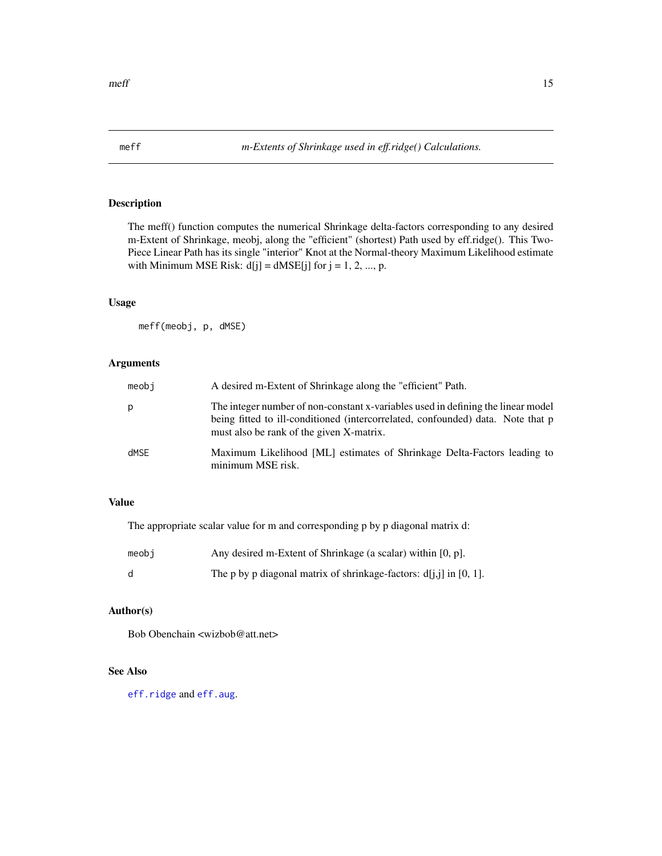<span id="page-14-1"></span><span id="page-14-0"></span>The meff() function computes the numerical Shrinkage delta-factors corresponding to any desired m-Extent of Shrinkage, meobj, along the "efficient" (shortest) Path used by eff.ridge(). This Two-Piece Linear Path has its single "interior" Knot at the Normal-theory Maximum Likelihood estimate with Minimum MSE Risk:  $d[j] = dMSE[j]$  for  $j = 1, 2, ..., p$ .

# Usage

meff(meobj, p, dMSE)

# Arguments

| meobi | A desired m-Extent of Shrinkage along the "efficient" Path.                                                                                                                                                     |
|-------|-----------------------------------------------------------------------------------------------------------------------------------------------------------------------------------------------------------------|
| р     | The integer number of non-constant x-variables used in defining the linear model<br>being fitted to ill-conditioned (intercorrelated, confounded) data. Note that p<br>must also be rank of the given X-matrix. |
| dMSE  | Maximum Likelihood [ML] estimates of Shrinkage Delta-Factors leading to<br>minimum MSE risk.                                                                                                                    |

# Value

The appropriate scalar value for m and corresponding p by p diagonal matrix d:

| meobi | Any desired m-Extent of Shrinkage (a scalar) within [0, p].          |
|-------|----------------------------------------------------------------------|
| d     | The p by p diagonal matrix of shrinkage-factors: $d[i,j]$ in [0, 1]. |

# Author(s)

Bob Obenchain <wizbob@att.net>

# See Also

[eff.ridge](#page-10-1) and [eff.aug](#page-7-1).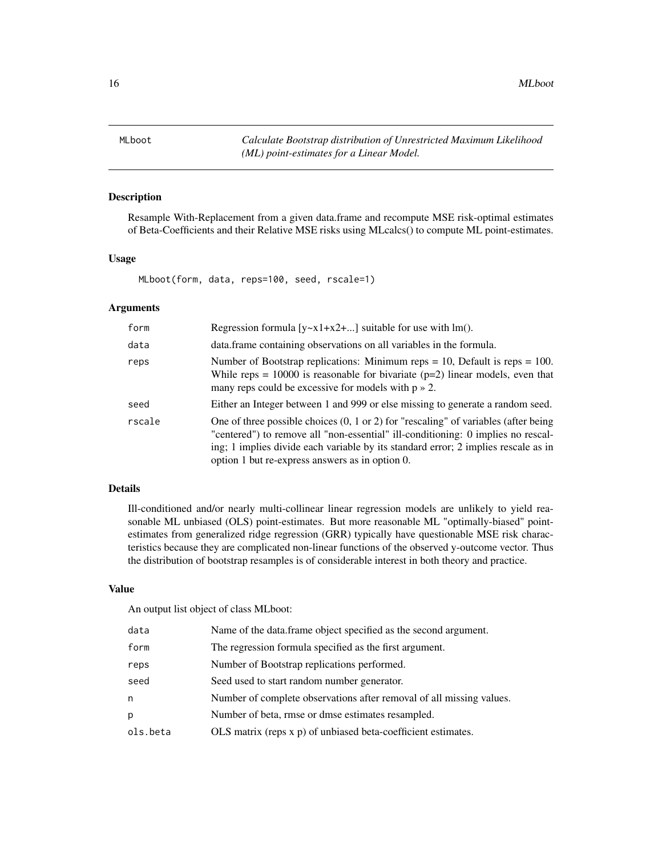<span id="page-15-1"></span><span id="page-15-0"></span>MLboot *Calculate Bootstrap distribution of Unrestricted Maximum Likelihood (ML) point-estimates for a Linear Model.*

# Description

Resample With-Replacement from a given data.frame and recompute MSE risk-optimal estimates of Beta-Coefficients and their Relative MSE risks using MLcalcs() to compute ML point-estimates.

#### Usage

MLboot(form, data, reps=100, seed, rscale=1)

# Arguments

| form   | Regression formula $[y-x1+x2+]$ suitable for use with lm().                                                                                                                                                                                                                                                                 |
|--------|-----------------------------------------------------------------------------------------------------------------------------------------------------------------------------------------------------------------------------------------------------------------------------------------------------------------------------|
| data   | data. frame containing observations on all variables in the formula.                                                                                                                                                                                                                                                        |
| reps   | Number of Bootstrap replications: Minimum reps = 10, Default is reps = 100.<br>While reps = $10000$ is reasonable for bivariate ( $p=2$ ) linear models, even that<br>many reps could be excessive for models with $p \gg 2$ .                                                                                              |
| seed   | Either an Integer between 1 and 999 or else missing to generate a random seed.                                                                                                                                                                                                                                              |
| rscale | One of three possible choices $(0, 1 \text{ or } 2)$ for "rescaling" of variables (after being<br>"centered") to remove all "non-essential" ill-conditioning: 0 implies no rescal-<br>ing; 1 implies divide each variable by its standard error; 2 implies rescale as in<br>option 1 but re-express answers as in option 0. |

# Details

Ill-conditioned and/or nearly multi-collinear linear regression models are unlikely to yield reasonable ML unbiased (OLS) point-estimates. But more reasonable ML "optimally-biased" pointestimates from generalized ridge regression (GRR) typically have questionable MSE risk characteristics because they are complicated non-linear functions of the observed y-outcome vector. Thus the distribution of bootstrap resamples is of considerable interest in both theory and practice.

# Value

An output list object of class MLboot:

| data     | Name of the data.frame object specified as the second argument.      |
|----------|----------------------------------------------------------------------|
| form     | The regression formula specified as the first argument.              |
| reps     | Number of Bootstrap replications performed.                          |
| seed     | Seed used to start random number generator.                          |
| n        | Number of complete observations after removal of all missing values. |
| D.       | Number of beta, rmse or dmse estimates resampled.                    |
| ols.beta | OLS matrix (reps x p) of unbiased beta-coefficient estimates.        |
|          |                                                                      |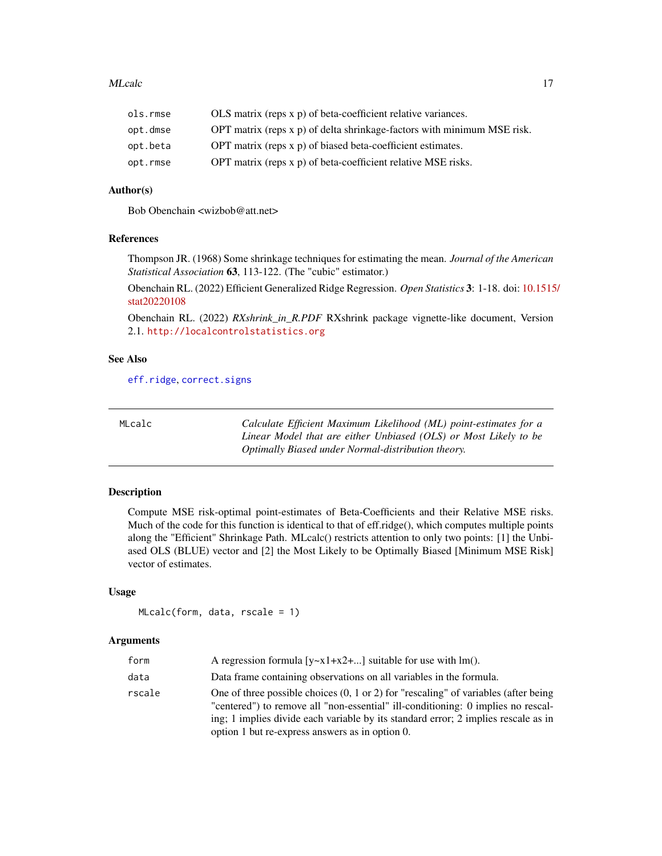#### <span id="page-16-0"></span>MLcalc 17

| ols.rmse | OLS matrix (reps x p) of beta-coefficient relative variances.             |
|----------|---------------------------------------------------------------------------|
| opt.dmse | OPT matrix (reps $x$ p) of delta shrinkage-factors with minimum MSE risk. |
| opt.beta | OPT matrix (reps x p) of biased beta-coefficient estimates.               |
| opt.rmse | OPT matrix (reps x p) of beta-coefficient relative MSE risks.             |

# Author(s)

Bob Obenchain <wizbob@att.net>

### References

Thompson JR. (1968) Some shrinkage techniques for estimating the mean. *Journal of the American Statistical Association* 63, 113-122. (The "cubic" estimator.)

Obenchain RL. (2022) Efficient Generalized Ridge Regression. *Open Statistics* 3: 1-18. doi: [10.1515](https://doi.org/10.1515/stat-2022-0108)/ [stat20220108](https://doi.org/10.1515/stat-2022-0108)

Obenchain RL. (2022) *RXshrink\_in\_R.PDF* RXshrink package vignette-like document, Version 2.1. <http://localcontrolstatistics.org>

### See Also

[eff.ridge](#page-10-1), [correct.signs](#page-5-1)

<span id="page-16-1"></span>

| MLcalc | Calculate Efficient Maximum Likelihood (ML) point-estimates for a |
|--------|-------------------------------------------------------------------|
|        | Linear Model that are either Unbiased (OLS) or Most Likely to be  |
|        | Optimally Biased under Normal-distribution theory.                |

# Description

Compute MSE risk-optimal point-estimates of Beta-Coefficients and their Relative MSE risks. Much of the code for this function is identical to that of eff.ridge(), which computes multiple points along the "Efficient" Shrinkage Path. MLcalc() restricts attention to only two points: [1] the Unbiased OLS (BLUE) vector and [2] the Most Likely to be Optimally Biased [Minimum MSE Risk] vector of estimates.

# Usage

MLcalc(form, data, rscale = 1)

#### **Arguments**

| form   | A regression formula $[v-x1+x2+]$ suitable for use with lm().                                                                                                                                                                                                                                                               |
|--------|-----------------------------------------------------------------------------------------------------------------------------------------------------------------------------------------------------------------------------------------------------------------------------------------------------------------------------|
| data   | Data frame containing observations on all variables in the formula.                                                                                                                                                                                                                                                         |
| rscale | One of three possible choices $(0, 1 \text{ or } 2)$ for "rescaling" of variables (after being<br>"centered") to remove all "non-essential" ill-conditioning: 0 implies no rescal-<br>ing; 1 implies divide each variable by its standard error; 2 implies rescale as in<br>option 1 but re-express answers as in option 0. |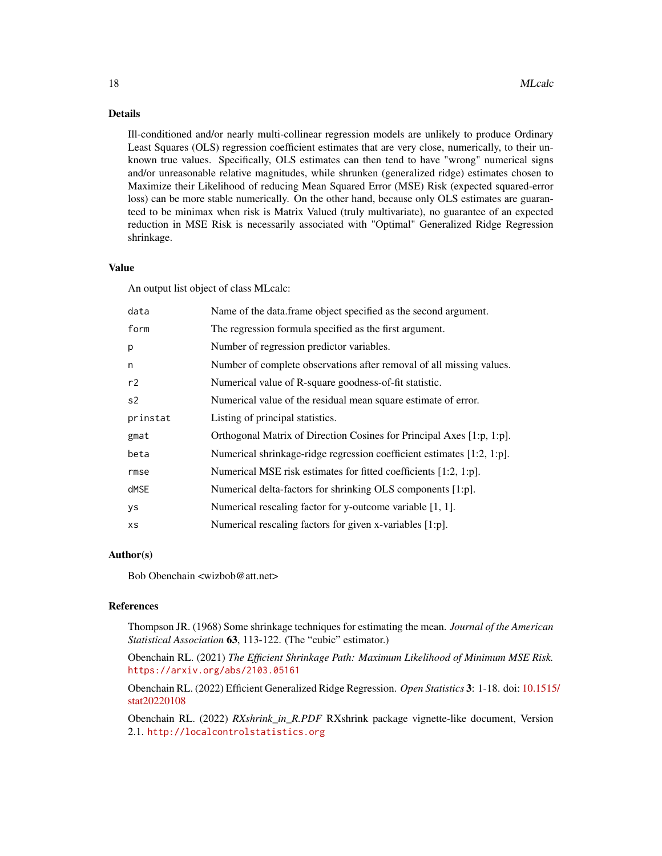# Details

Ill-conditioned and/or nearly multi-collinear regression models are unlikely to produce Ordinary Least Squares (OLS) regression coefficient estimates that are very close, numerically, to their unknown true values. Specifically, OLS estimates can then tend to have "wrong" numerical signs and/or unreasonable relative magnitudes, while shrunken (generalized ridge) estimates chosen to Maximize their Likelihood of reducing Mean Squared Error (MSE) Risk (expected squared-error loss) can be more stable numerically. On the other hand, because only OLS estimates are guaranteed to be minimax when risk is Matrix Valued (truly multivariate), no guarantee of an expected reduction in MSE Risk is necessarily associated with "Optimal" Generalized Ridge Regression shrinkage.

#### Value

An output list object of class MLcalc:

| data      | Name of the data.frame object specified as the second argument.        |
|-----------|------------------------------------------------------------------------|
| form      | The regression formula specified as the first argument.                |
| p         | Number of regression predictor variables.                              |
| n         | Number of complete observations after removal of all missing values.   |
| r2        | Numerical value of R-square goodness-of-fit statistic.                 |
| s2        | Numerical value of the residual mean square estimate of error.         |
| prinstat  | Listing of principal statistics.                                       |
| gmat      | Orthogonal Matrix of Direction Cosines for Principal Axes [1:p, 1:p].  |
| beta      | Numerical shrinkage-ridge regression coefficient estimates [1:2, 1:p]. |
| rmse      | Numerical MSE risk estimates for fitted coefficients [1:2, 1:p].       |
| dMSE      | Numerical delta-factors for shrinking OLS components [1:p].            |
| <b>ys</b> | Numerical rescaling factor for y-outcome variable [1, 1].              |
| хs        | Numerical rescaling factors for given x-variables [1:p].               |
|           |                                                                        |

#### Author(s)

Bob Obenchain <wizbob@att.net>

# References

Thompson JR. (1968) Some shrinkage techniques for estimating the mean. *Journal of the American Statistical Association* 63, 113-122. (The "cubic" estimator.)

Obenchain RL. (2021) *The Efficient Shrinkage Path: Maximum Likelihood of Minimum MSE Risk.* <https://arxiv.org/abs/2103.05161>

Obenchain RL. (2022) Efficient Generalized Ridge Regression. *Open Statistics* 3: 1-18. doi: [10.1515](https://doi.org/10.1515/stat-2022-0108)/ [stat20220108](https://doi.org/10.1515/stat-2022-0108)

Obenchain RL. (2022) *RXshrink\_in\_R.PDF* RXshrink package vignette-like document, Version 2.1. <http://localcontrolstatistics.org>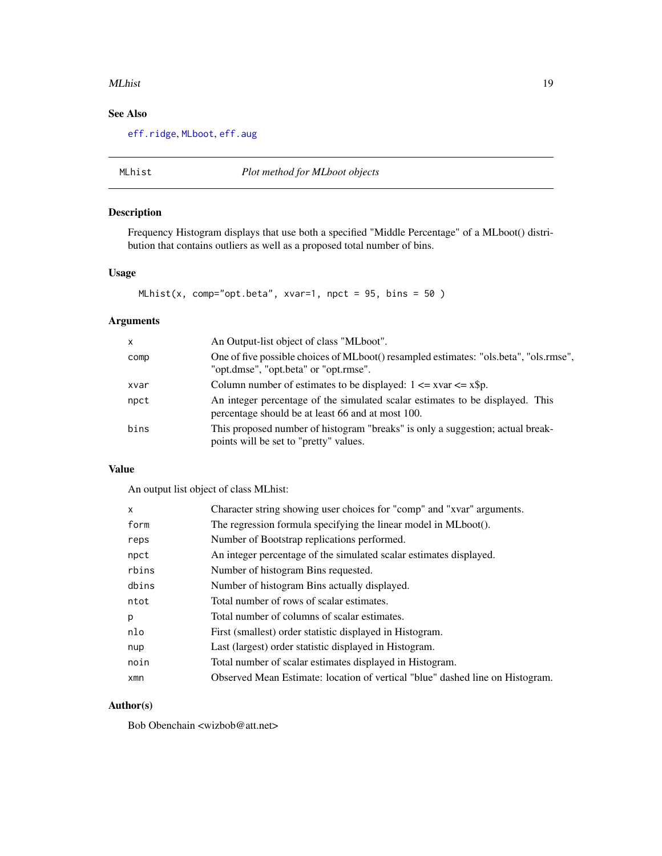#### <span id="page-18-0"></span>MLhist 2008 and the set of the set of the set of the set of the set of the set of the set of the set of the set of the set of the set of the set of the set of the set of the set of the set of the set of the set of the set

# See Also

[eff.ridge](#page-10-1), [MLboot](#page-15-1), [eff.aug](#page-7-1)

MLhist *Plot method for MLboot objects*

# Description

Frequency Histogram displays that use both a specified "Middle Percentage" of a MLboot() distribution that contains outliers as well as a proposed total number of bins.

# Usage

```
MLhist(x, comp="opt.beta", xvar=1, npct = 95, bins = 50)
```
# Arguments

| $\mathsf{x}$ | An Output-list object of class "MLboot".                                                                                           |
|--------------|------------------------------------------------------------------------------------------------------------------------------------|
| comp         | One of five possible choices of MLboot() resampled estimates: "ols.beta", "ols.rmse",<br>"opt.dmse", "opt.beta" or "opt.rmse".     |
| xvar         | Column number of estimates to be displayed: $1 \le x \text{var} \le x \text{sp}$ .                                                 |
| npct         | An integer percentage of the simulated scalar estimates to be displayed. This<br>percentage should be at least 66 and at most 100. |
| bins         | This proposed number of histogram "breaks" is only a suggestion; actual break-<br>points will be set to "pretty" values.           |

# Value

An output list object of class MLhist:

| X     | Character string showing user choices for "comp" and "xvar" arguments.        |
|-------|-------------------------------------------------------------------------------|
| form  | The regression formula specifying the linear model in MLboot().               |
| reps  | Number of Bootstrap replications performed.                                   |
| npct  | An integer percentage of the simulated scalar estimates displayed.            |
| rbins | Number of histogram Bins requested.                                           |
| dbins | Number of histogram Bins actually displayed.                                  |
| ntot  | Total number of rows of scalar estimates.                                     |
| p     | Total number of columns of scalar estimates.                                  |
| nlo   | First (smallest) order statistic displayed in Histogram.                      |
| nup   | Last (largest) order statistic displayed in Histogram.                        |
| noin  | Total number of scalar estimates displayed in Histogram.                      |
| xmn   | Observed Mean Estimate: location of vertical "blue" dashed line on Histogram. |

# Author(s)

Bob Obenchain <wizbob@att.net>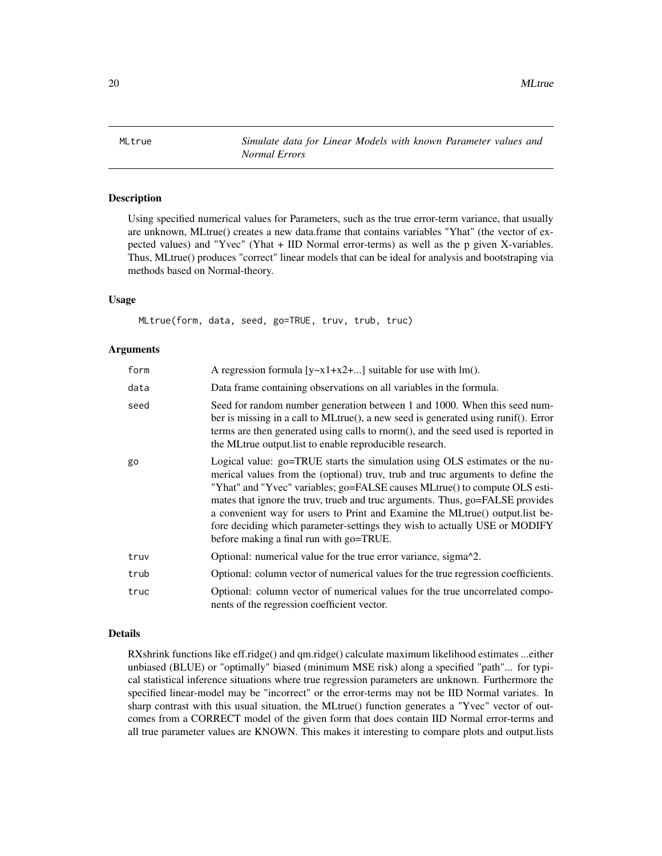<span id="page-19-1"></span><span id="page-19-0"></span>MLtrue *Simulate data for Linear Models with known Parameter values and Normal Errors*

#### Description

Using specified numerical values for Parameters, such as the true error-term variance, that usually are unknown, MLtrue() creates a new data.frame that contains variables "Yhat" (the vector of expected values) and "Yvec" (Yhat + IID Normal error-terms) as well as the p given X-variables. Thus, MLtrue() produces "correct" linear models that can be ideal for analysis and bootstraping via methods based on Normal-theory.

# Usage

MLtrue(form, data, seed, go=TRUE, truv, trub, truc)

#### Arguments

| form | A regression formula $[y-x1+x2+]$ suitable for use with lm().                                                                                                                                                                                                                                                                                                                                                                                                                                                                          |
|------|----------------------------------------------------------------------------------------------------------------------------------------------------------------------------------------------------------------------------------------------------------------------------------------------------------------------------------------------------------------------------------------------------------------------------------------------------------------------------------------------------------------------------------------|
| data | Data frame containing observations on all variables in the formula.                                                                                                                                                                                                                                                                                                                                                                                                                                                                    |
| seed | Seed for random number generation between 1 and 1000. When this seed num-<br>ber is missing in a call to MLtrue(), a new seed is generated using runif(). Error<br>terms are then generated using calls to rnorm(), and the seed used is reported in<br>the MLtrue output. I ist to enable reproducible research.                                                                                                                                                                                                                      |
| go   | Logical value: go=TRUE starts the simulation using OLS estimates or the nu-<br>merical values from the (optional) truv, trub and truc arguments to define the<br>"Yhat" and "Yvec" variables; go=FALSE causes MLtrue() to compute OLS esti-<br>mates that ignore the truv, trueb and truc arguments. Thus, go=FALSE provides<br>a convenient way for users to Print and Examine the MLtrue() output. list be-<br>fore deciding which parameter-settings they wish to actually USE or MODIFY<br>before making a final run with go=TRUE. |
| truv | Optional: numerical value for the true error variance, sigma <sup>2</sup> 2.                                                                                                                                                                                                                                                                                                                                                                                                                                                           |
| trub | Optional: column vector of numerical values for the true regression coefficients.                                                                                                                                                                                                                                                                                                                                                                                                                                                      |
| truc | Optional: column vector of numerical values for the true uncorrelated compo-<br>nents of the regression coefficient vector.                                                                                                                                                                                                                                                                                                                                                                                                            |

### Details

RXshrink functions like eff.ridge() and qm.ridge() calculate maximum likelihood estimates ...either unbiased (BLUE) or "optimally" biased (minimum MSE risk) along a specified "path"... for typical statistical inference situations where true regression parameters are unknown. Furthermore the specified linear-model may be "incorrect" or the error-terms may not be IID Normal variates. In sharp contrast with this usual situation, the MLtrue() function generates a "Yvec" vector of outcomes from a CORRECT model of the given form that does contain IID Normal error-terms and all true parameter values are KNOWN. This makes it interesting to compare plots and output.lists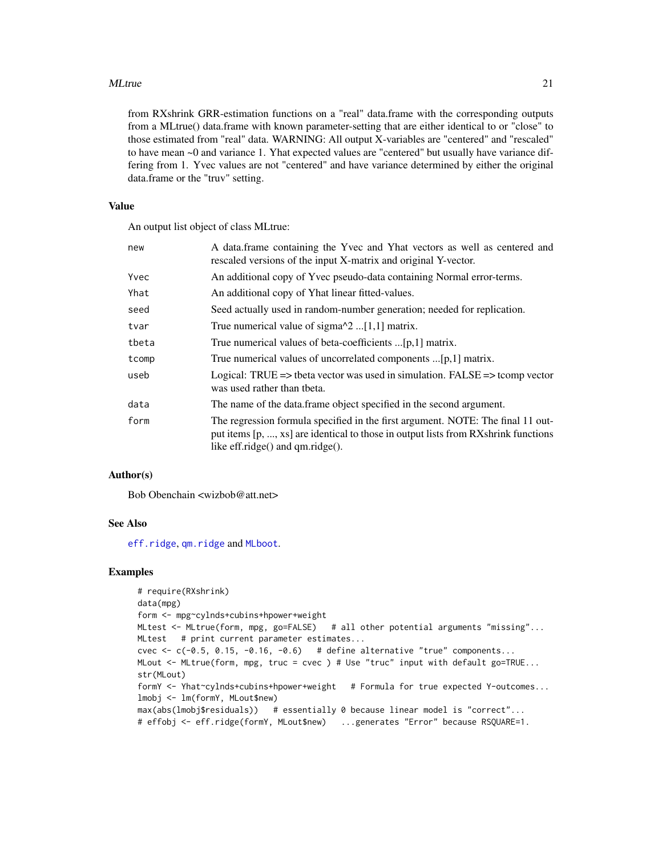#### <span id="page-20-0"></span>MLtrue 21

from RXshrink GRR-estimation functions on a "real" data.frame with the corresponding outputs from a MLtrue() data.frame with known parameter-setting that are either identical to or "close" to those estimated from "real" data. WARNING: All output X-variables are "centered" and "rescaled" to have mean ~0 and variance 1. Yhat expected values are "centered" but usually have variance differing from 1. Yvec values are not "centered" and have variance determined by either the original data.frame or the "truv" setting.

#### Value

An output list object of class MLtrue:

| new   | A data.frame containing the Yvec and Yhat vectors as well as centered and<br>rescaled versions of the input X-matrix and original Y-vector.                                                               |
|-------|-----------------------------------------------------------------------------------------------------------------------------------------------------------------------------------------------------------|
| Yvec  | An additional copy of Yvec pseudo-data containing Normal error-terms.                                                                                                                                     |
| Yhat  | An additional copy of Yhat linear fitted-values.                                                                                                                                                          |
| seed  | Seed actually used in random-number generation; needed for replication.                                                                                                                                   |
| tvar  | True numerical value of sigma $\alpha$ 2 [1,1] matrix.                                                                                                                                                    |
| tbeta | True numerical values of beta-coefficients [p,1] matrix.                                                                                                                                                  |
| tcomp | True numerical values of uncorrelated components [p,1] matrix.                                                                                                                                            |
| useb  | Logical: TRUE => tbeta vector was used in simulation. FALSE => tcomp vector<br>was used rather than theta.                                                                                                |
| data  | The name of the data.frame object specified in the second argument.                                                                                                                                       |
| form  | The regression formula specified in the first argument. NOTE: The final 11 out-<br>put items [p, , xs] are identical to those in output lists from RXshrink functions<br>like eff.ridge() and qm.ridge(). |

# Author(s)

Bob Obenchain <wizbob@att.net>

# See Also

[eff.ridge](#page-10-1), [qm.ridge](#page-29-1) and [MLboot](#page-15-1).

```
# require(RXshrink)
data(mpg)
form <- mpg~cylnds+cubins+hpower+weight
MLtest <- MLtrue(form, mpg, go=FALSE) # all other potential arguments "missing"...
MLtest # print current parameter estimates...
cvec \leq c(-0.5, 0.15, -0.16, -0.6) # define alternative "true" components...
MLout <- MLtrue(form, mpg, truc = cvec ) # Use "truc" input with default go=TRUE...
str(MLout)
formY <- Yhat~cylnds+cubins+hpower+weight # Formula for true expected Y-outcomes...
lmobj <- lm(formY, MLout$new)
max(abs(lmobj$residuals)) # essentially 0 because linear model is "correct"...
# effobj <- eff.ridge(formY, MLout$new) ...generates "Error" because RSQUARE=1.
```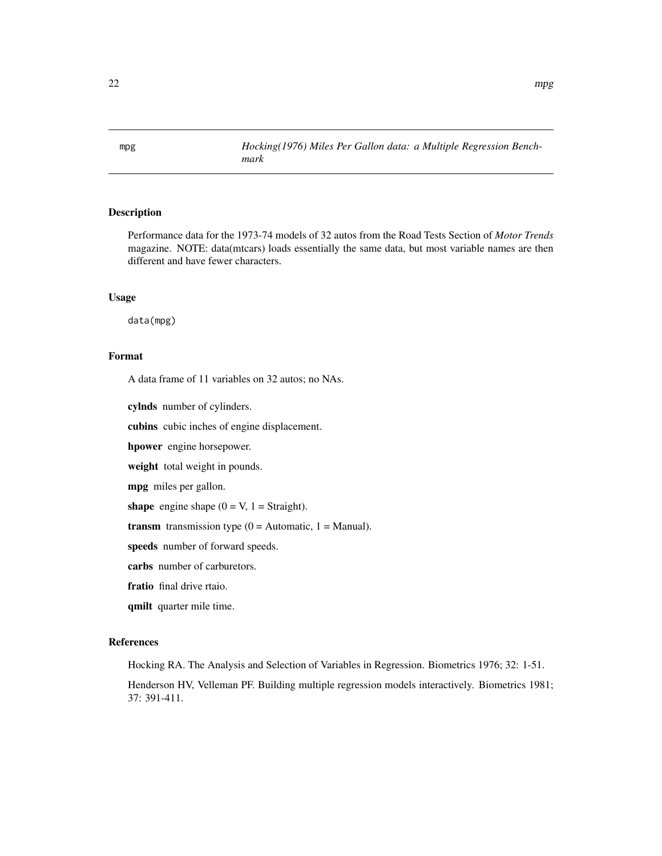<span id="page-21-0"></span>mpg *Hocking(1976) Miles Per Gallon data: a Multiple Regression Benchmark*

# Description

Performance data for the 1973-74 models of 32 autos from the Road Tests Section of *Motor Trends* magazine. NOTE: data(mtcars) loads essentially the same data, but most variable names are then different and have fewer characters.

# Usage

data(mpg)

# Format

A data frame of 11 variables on 32 autos; no NAs.

cylnds number of cylinders.

cubins cubic inches of engine displacement.

hpower engine horsepower.

weight total weight in pounds.

mpg miles per gallon.

shape engine shape  $(0 = V, 1 = \text{Straight})$ .

**transm** transmission type  $(0 =$  Automatic,  $1 =$  Manual).

speeds number of forward speeds.

carbs number of carburetors.

fratio final drive rtaio.

qmilt quarter mile time.

# References

Hocking RA. The Analysis and Selection of Variables in Regression. Biometrics 1976; 32: 1-51.

Henderson HV, Velleman PF. Building multiple regression models interactively. Biometrics 1981; 37: 391-411.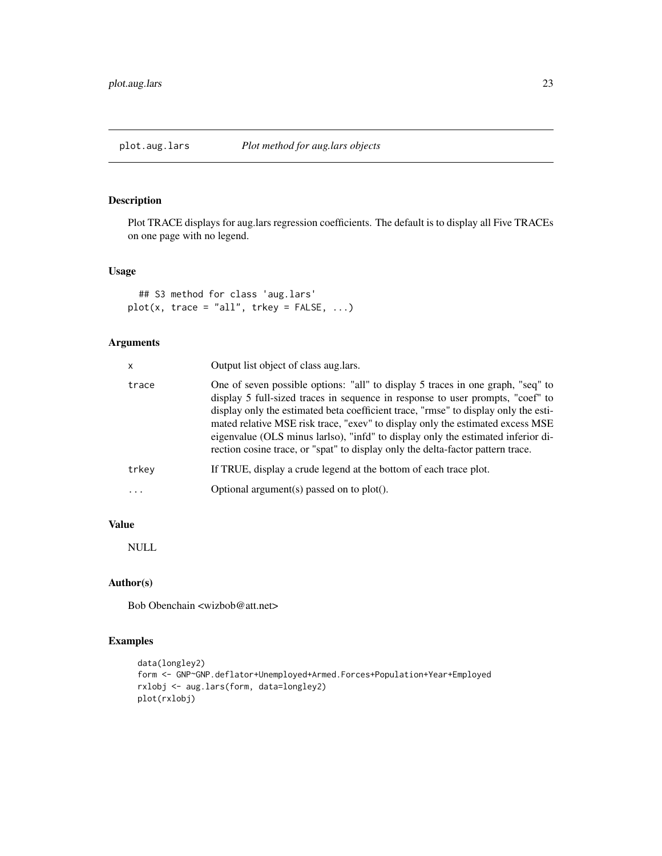<span id="page-22-0"></span>

Plot TRACE displays for aug.lars regression coefficients. The default is to display all Five TRACEs on one page with no legend.

# Usage

```
## S3 method for class 'aug.lars'
plot(x, trace = "all", trkey = FALSE, ...)
```
# Arguments

| x     | Output list object of class aug. lars.                                                                                                                                                                                                                                                                                                                                                                                                                                                                            |
|-------|-------------------------------------------------------------------------------------------------------------------------------------------------------------------------------------------------------------------------------------------------------------------------------------------------------------------------------------------------------------------------------------------------------------------------------------------------------------------------------------------------------------------|
| trace | One of seven possible options: "all" to display 5 traces in one graph, "seq" to<br>display 5 full-sized traces in sequence in response to user prompts, "coef" to<br>display only the estimated beta coefficient trace, "rmse" to display only the esti-<br>mated relative MSE risk trace, "exev" to display only the estimated excess MSE<br>eigenvalue (OLS minus larlso), "infd" to display only the estimated inferior di-<br>rection cosine trace, or "spat" to display only the delta-factor pattern trace. |
| trkev | If TRUE, display a crude legend at the bottom of each trace plot.                                                                                                                                                                                                                                                                                                                                                                                                                                                 |
| .     | Optional argument(s) passed on to $plot(.)$ .                                                                                                                                                                                                                                                                                                                                                                                                                                                                     |
|       |                                                                                                                                                                                                                                                                                                                                                                                                                                                                                                                   |

# Value

NULL

# Author(s)

Bob Obenchain <wizbob@att.net>

```
data(longley2)
form <- GNP~GNP.deflator+Unemployed+Armed.Forces+Population+Year+Employed
rxlobj <- aug.lars(form, data=longley2)
plot(rxlobj)
```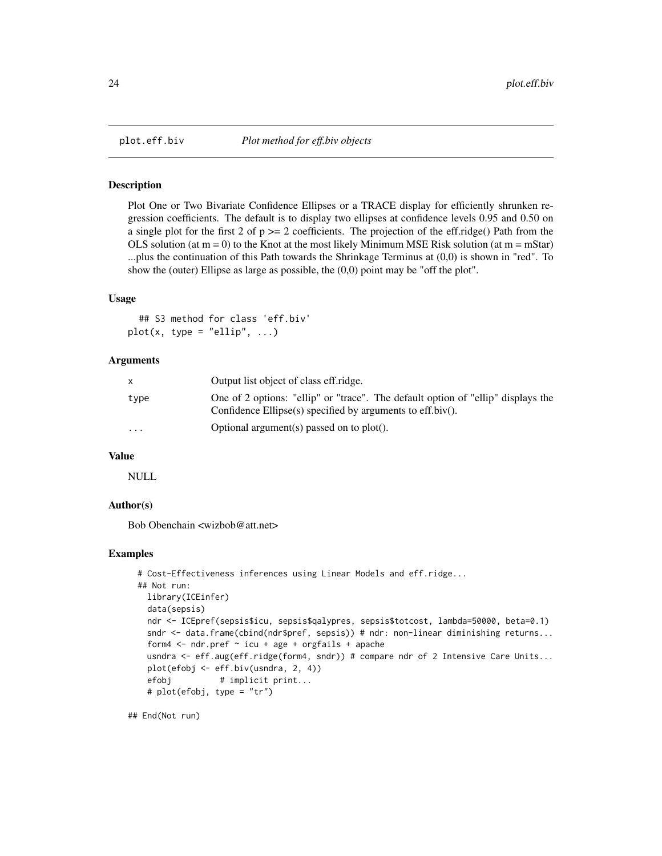<span id="page-23-0"></span>

Plot One or Two Bivariate Confidence Ellipses or a TRACE display for efficiently shrunken regression coefficients. The default is to display two ellipses at confidence levels 0.95 and 0.50 on a single plot for the first 2 of  $p \ge 2$  coefficients. The projection of the eff.ridge() Path from the OLS solution (at  $m = 0$ ) to the Knot at the most likely Minimum MSE Risk solution (at  $m = mStar$ ) ...plus the continuation of this Path towards the Shrinkage Terminus at (0,0) is shown in "red". To show the (outer) Ellipse as large as possible, the (0,0) point may be "off the plot".

#### Usage

## S3 method for class 'eff.biv'  $plot(x, type = "ellip", ...)$ 

#### Arguments

| X        | Output list object of class eff.ridge.                                                                                                                |
|----------|-------------------------------------------------------------------------------------------------------------------------------------------------------|
| type     | One of 2 options: "ellip" or "trace". The default option of "ellip" displays the<br>Confidence Ellipse $(s)$ specified by arguments to eff.biv $()$ . |
| $\cdots$ | Optional argument(s) passed on to $plot()$ .                                                                                                          |

#### Value

NULL

# Author(s)

Bob Obenchain <wizbob@att.net>

### Examples

```
# Cost-Effectiveness inferences using Linear Models and eff.ridge...
## Not run:
 library(ICEinfer)
  data(sepsis)
 ndr <- ICEpref(sepsis$icu, sepsis$qalypres, sepsis$totcost, lambda=50000, beta=0.1)
  sndr <- data.frame(cbind(ndr$pref, sepsis)) # ndr: non-linear diminishing returns...
  form4 \leq ndr.pref \sim icu + age + orgfails + apache
  usndra <- eff.aug(eff.ridge(form4, sndr)) # compare ndr of 2 Intensive Care Units...
  plot(efobj <- eff.biv(usndra, 2, 4))
  efobj # implicit print...
  # plot(efobj, type = "tr")
```
## End(Not run)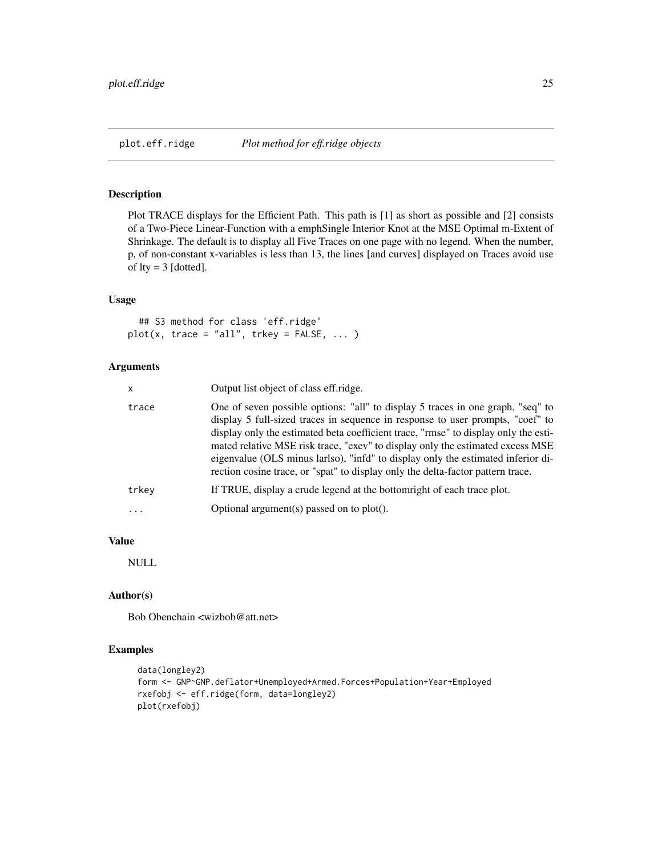<span id="page-24-0"></span>Plot TRACE displays for the Efficient Path. This path is [1] as short as possible and [2] consists of a Two-Piece Linear-Function with a emphSingle Interior Knot at the MSE Optimal m-Extent of Shrinkage. The default is to display all Five Traces on one page with no legend. When the number, p, of non-constant x-variables is less than 13, the lines [and curves] displayed on Traces avoid use of  $lty = 3$  [dotted].

# Usage

## S3 method for class 'eff.ridge'  $plot(x, trace = "all", trkey = FALSE, ... )$ 

# Arguments

| x     | Output list object of class eff.ridge.                                                                                                                                                                                                                                                                                                                                                                                                                                                                            |
|-------|-------------------------------------------------------------------------------------------------------------------------------------------------------------------------------------------------------------------------------------------------------------------------------------------------------------------------------------------------------------------------------------------------------------------------------------------------------------------------------------------------------------------|
| trace | One of seven possible options: "all" to display 5 traces in one graph, "seq" to<br>display 5 full-sized traces in sequence in response to user prompts, "coef" to<br>display only the estimated beta coefficient trace, "rmse" to display only the esti-<br>mated relative MSE risk trace, "exev" to display only the estimated excess MSE<br>eigenvalue (OLS minus larlso), "infd" to display only the estimated inferior di-<br>rection cosine trace, or "spat" to display only the delta-factor pattern trace. |
| trkey | If TRUE, display a crude legend at the bottomright of each trace plot.                                                                                                                                                                                                                                                                                                                                                                                                                                            |
| .     | Optional argument(s) passed on to $plot(.)$ .                                                                                                                                                                                                                                                                                                                                                                                                                                                                     |

# Value

NULL

# Author(s)

Bob Obenchain <wizbob@att.net>

```
data(longley2)
form <- GNP~GNP.deflator+Unemployed+Armed.Forces+Population+Year+Employed
rxefobj <- eff.ridge(form, data=longley2)
plot(rxefobj)
```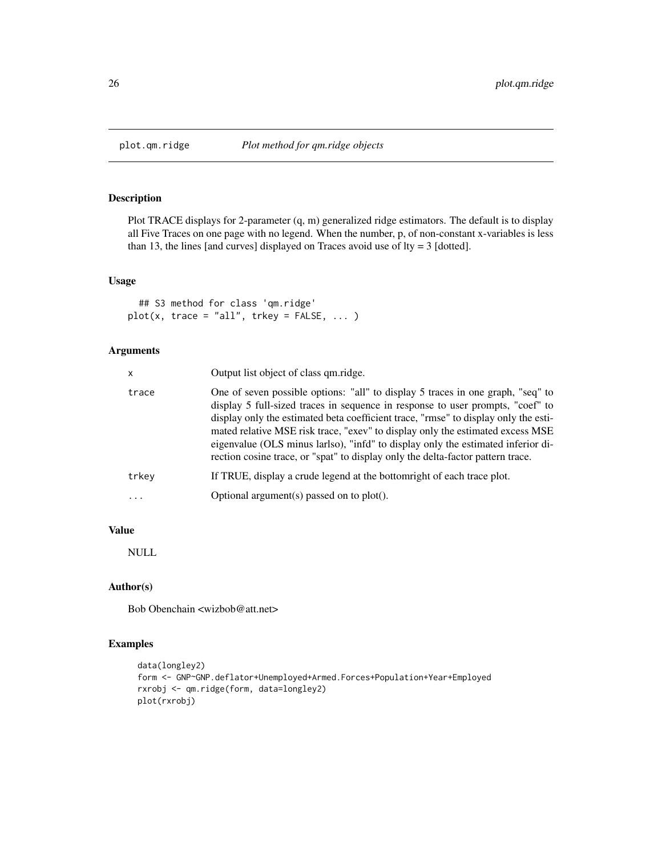<span id="page-25-0"></span>

Plot TRACE displays for 2-parameter (q, m) generalized ridge estimators. The default is to display all Five Traces on one page with no legend. When the number, p, of non-constant x-variables is less than 13, the lines [and curves] displayed on Traces avoid use of lty = 3 [dotted].

# Usage

```
## S3 method for class 'qm.ridge'
plot(x, trace = "all", trkey = FALSE, ... )
```
# Arguments

| x     | Output list object of class qm.ridge.                                                                                                                                                                                                                                                                                                                                                                                                                                                                             |
|-------|-------------------------------------------------------------------------------------------------------------------------------------------------------------------------------------------------------------------------------------------------------------------------------------------------------------------------------------------------------------------------------------------------------------------------------------------------------------------------------------------------------------------|
| trace | One of seven possible options: "all" to display 5 traces in one graph, "seq" to<br>display 5 full-sized traces in sequence in response to user prompts, "coef" to<br>display only the estimated beta coefficient trace, "rmse" to display only the esti-<br>mated relative MSE risk trace, "exev" to display only the estimated excess MSE<br>eigenvalue (OLS minus larlso), "infd" to display only the estimated inferior di-<br>rection cosine trace, or "spat" to display only the delta-factor pattern trace. |
| trkev | If TRUE, display a crude legend at the bottomright of each trace plot.                                                                                                                                                                                                                                                                                                                                                                                                                                            |
| .     | Optional argument(s) passed on to $plot(.)$ .                                                                                                                                                                                                                                                                                                                                                                                                                                                                     |
|       |                                                                                                                                                                                                                                                                                                                                                                                                                                                                                                                   |

# Value

NULL

# Author(s)

Bob Obenchain <wizbob@att.net>

```
data(longley2)
form <- GNP~GNP.deflator+Unemployed+Armed.Forces+Population+Year+Employed
rxrobj <- qm.ridge(form, data=longley2)
plot(rxrobj)
```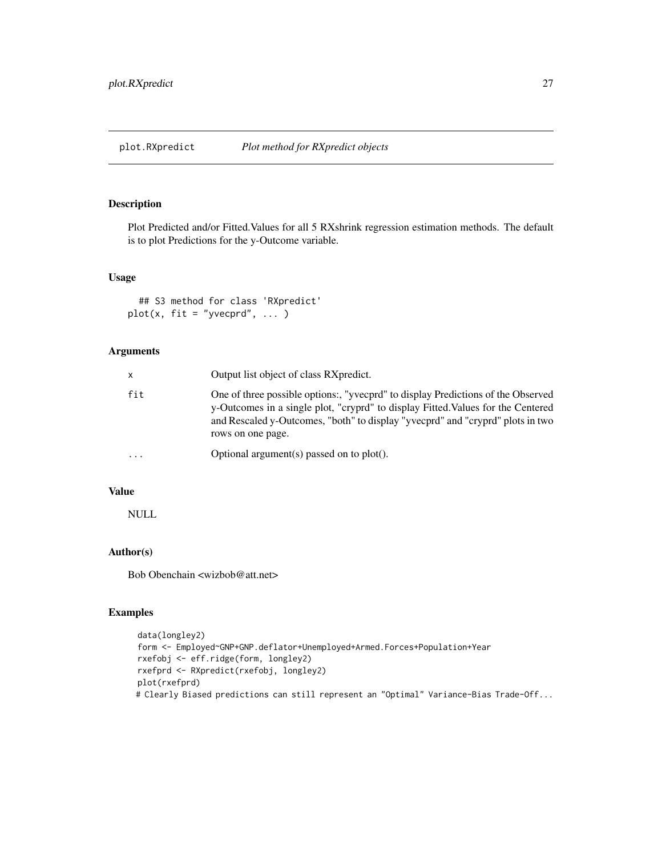<span id="page-26-0"></span>

Plot Predicted and/or Fitted.Values for all 5 RXshrink regression estimation methods. The default is to plot Predictions for the y-Outcome variable.

# Usage

```
## S3 method for class 'RXpredict'
plot(x, fit = "yvecprd", ... )
```
# Arguments

| x        | Output list object of class RXpredict.                                                                                                                                                                                                                                      |
|----------|-----------------------------------------------------------------------------------------------------------------------------------------------------------------------------------------------------------------------------------------------------------------------------|
| fit      | One of three possible options:, "yvecprd" to display Predictions of the Observed<br>y-Outcomes in a single plot, "cryprd" to display Fitted. Values for the Centered<br>and Rescaled y-Outcomes, "both" to display "yvecprd" and "cryprd" plots in two<br>rows on one page. |
| $\cdots$ | Optional argument(s) passed on to plot().                                                                                                                                                                                                                                   |
|          |                                                                                                                                                                                                                                                                             |

# Value

NULL

# Author(s)

Bob Obenchain <wizbob@att.net>

```
data(longley2)
form <- Employed~GNP+GNP.deflator+Unemployed+Armed.Forces+Population+Year
rxefobj <- eff.ridge(form, longley2)
rxefprd <- RXpredict(rxefobj, longley2)
plot(rxefprd)
# Clearly Biased predictions can still represent an "Optimal" Variance-Bias Trade-Off...
```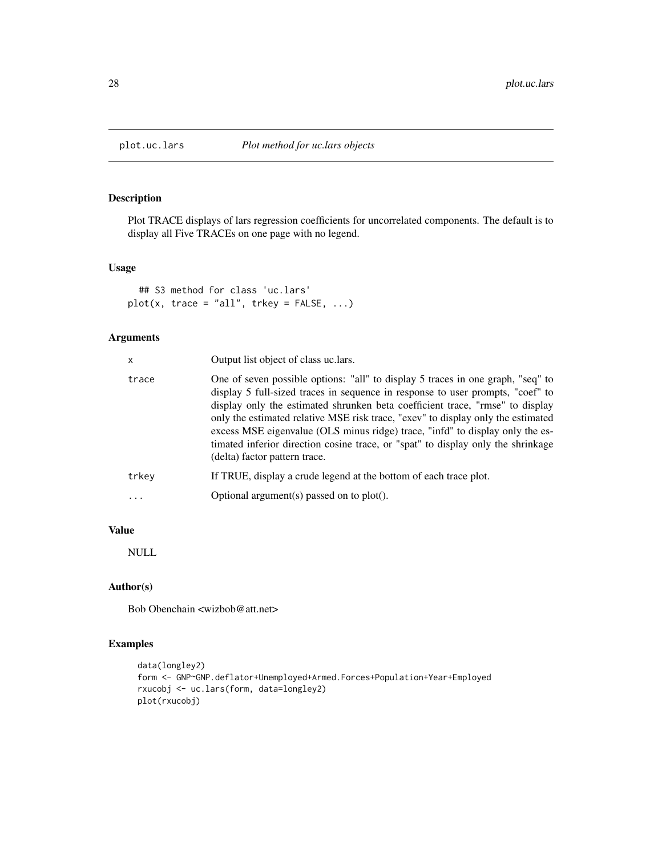<span id="page-27-0"></span>

Plot TRACE displays of lars regression coefficients for uncorrelated components. The default is to display all Five TRACEs on one page with no legend.

# Usage

```
## S3 method for class 'uc.lars'
plot(x, trace = "all", trkey = FALSE, ...)
```
# Arguments

| x     | Output list object of class uc. lars.                                                                                                                                                                                                                                                                                                                                                                                                                                                                                                        |
|-------|----------------------------------------------------------------------------------------------------------------------------------------------------------------------------------------------------------------------------------------------------------------------------------------------------------------------------------------------------------------------------------------------------------------------------------------------------------------------------------------------------------------------------------------------|
| trace | One of seven possible options: "all" to display 5 traces in one graph, "seq" to<br>display 5 full-sized traces in sequence in response to user prompts, "coef" to<br>display only the estimated shrunken beta coefficient trace, "rmse" to display<br>only the estimated relative MSE risk trace, "exev" to display only the estimated<br>excess MSE eigenvalue (OLS minus ridge) trace, "infd" to display only the es-<br>timated inferior direction cosine trace, or "spat" to display only the shrinkage<br>(delta) factor pattern trace. |
| trkev | If TRUE, display a crude legend at the bottom of each trace plot.                                                                                                                                                                                                                                                                                                                                                                                                                                                                            |
| .     | Optional argument(s) passed on to $plot(.)$ .                                                                                                                                                                                                                                                                                                                                                                                                                                                                                                |
|       |                                                                                                                                                                                                                                                                                                                                                                                                                                                                                                                                              |

# Value

NULL

# Author(s)

Bob Obenchain <wizbob@att.net>

```
data(longley2)
form <- GNP~GNP.deflator+Unemployed+Armed.Forces+Population+Year+Employed
rxucobj <- uc.lars(form, data=longley2)
plot(rxucobj)
```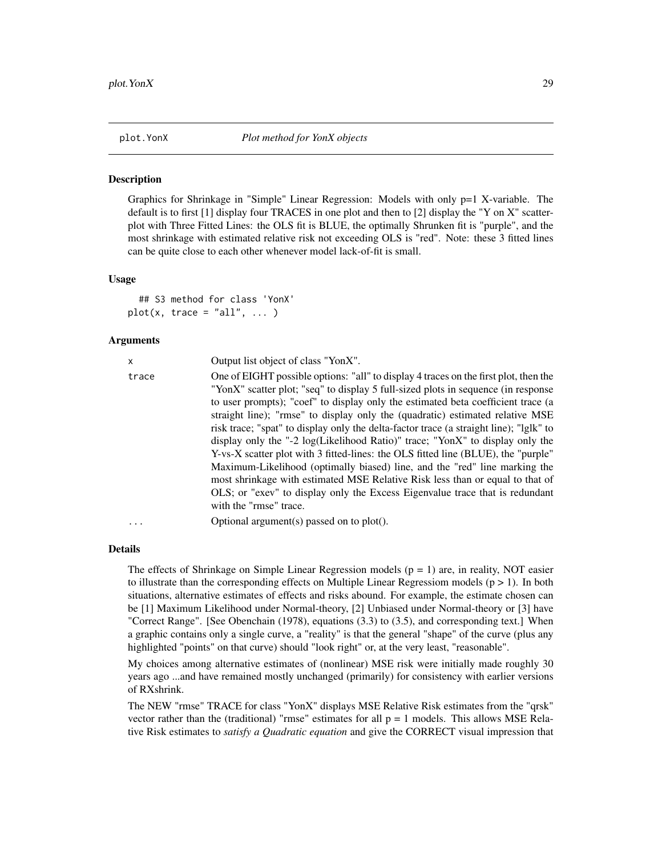<span id="page-28-0"></span>Graphics for Shrinkage in "Simple" Linear Regression: Models with only  $p=1$  X-variable. The default is to first [1] display four TRACES in one plot and then to [2] display the "Y on X" scatterplot with Three Fitted Lines: the OLS fit is BLUE, the optimally Shrunken fit is "purple", and the most shrinkage with estimated relative risk not exceeding OLS is "red". Note: these 3 fitted lines can be quite close to each other whenever model lack-of-fit is small.

#### Usage

## S3 method for class 'YonX'  $plot(x, trace = "all", ... )$ 

# Arguments

| x        | Output list object of class "YonX".                                                    |
|----------|----------------------------------------------------------------------------------------|
| trace    | One of EIGHT possible options: "all" to display 4 traces on the first plot, then the   |
|          | "YonX" scatter plot; "seq" to display 5 full-sized plots in sequence (in response      |
|          | to user prompts); "coef" to display only the estimated beta coefficient trace (a       |
|          | straight line); "rmse" to display only the (quadratic) estimated relative MSE          |
|          | risk trace; "spat" to display only the delta-factor trace (a straight line); "lglk" to |
|          | display only the "-2 log(Likelihood Ratio)" trace; "YonX" to display only the          |
|          | Y-vs-X scatter plot with 3 fitted-lines: the OLS fitted line (BLUE), the "purple"      |
|          | Maximum-Likelihood (optimally biased) line, and the "red" line marking the             |
|          | most shrinkage with estimated MSE Relative Risk less than or equal to that of          |
|          | OLS; or "exev" to display only the Excess Eigenvalue trace that is redundant           |
|          | with the "rmse" trace.                                                                 |
| $\cdots$ | Optional argument(s) passed on to plot().                                              |

#### Details

The effects of Shrinkage on Simple Linear Regression models  $(p = 1)$  are, in reality, NOT easier to illustrate than the corresponding effects on Multiple Linear Regressiom models  $(p > 1)$ . In both situations, alternative estimates of effects and risks abound. For example, the estimate chosen can be [1] Maximum Likelihood under Normal-theory, [2] Unbiased under Normal-theory or [3] have "Correct Range". [See Obenchain (1978), equations (3.3) to (3.5), and corresponding text.] When a graphic contains only a single curve, a "reality" is that the general "shape" of the curve (plus any highlighted "points" on that curve) should "look right" or, at the very least, "reasonable".

My choices among alternative estimates of (nonlinear) MSE risk were initially made roughly 30 years ago ...and have remained mostly unchanged (primarily) for consistency with earlier versions of RXshrink.

The NEW "rmse" TRACE for class "YonX" displays MSE Relative Risk estimates from the "qrsk" vector rather than the (traditional) "rmse" estimates for all  $p = 1$  models. This allows MSE Relative Risk estimates to *satisfy a Quadratic equation* and give the CORRECT visual impression that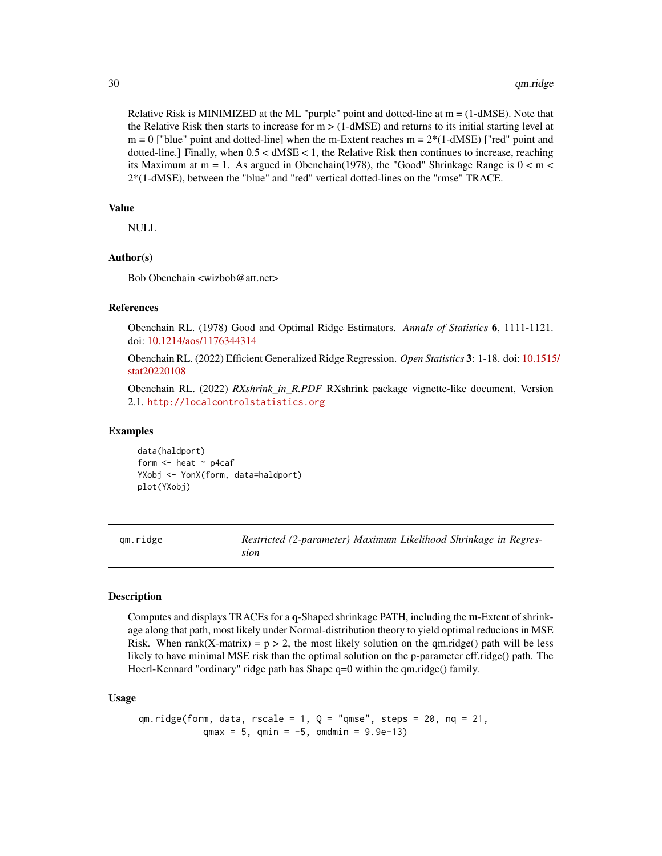Relative Risk is MINIMIZED at the ML "purple" point and dotted-line at  $m = (1-dMSE)$ . Note that the Relative Risk then starts to increase for  $m > (1-dMSE)$  and returns to its initial starting level at  $m = 0$  ["blue" point and dotted-line] when the m-Extent reaches  $m = 2*(1-dMSE)$  ["red" point and dotted-line.] Finally, when  $0.5 < dMSE < 1$ , the Relative Risk then continues to increase, reaching its Maximum at  $m = 1$ . As argued in Obenchain(1978), the "Good" Shrinkage Range is  $0 < m <$ 2\*(1-dMSE), between the "blue" and "red" vertical dotted-lines on the "rmse" TRACE.

#### Value

NULL

# Author(s)

Bob Obenchain <wizbob@att.net>

# References

Obenchain RL. (1978) Good and Optimal Ridge Estimators. *Annals of Statistics* 6, 1111-1121. doi: [10.1214/aos/1176344314](https://doi.org/10.1214/aos/1176344314)

Obenchain RL. (2022) Efficient Generalized Ridge Regression. *Open Statistics* 3: 1-18. doi: [10.1515](https://doi.org/10.1515/stat-2022-0108)/ [stat20220108](https://doi.org/10.1515/stat-2022-0108)

Obenchain RL. (2022) *RXshrink\_in\_R.PDF* RXshrink package vignette-like document, Version 2.1. <http://localcontrolstatistics.org>

#### Examples

data(haldport) form  $<-$  heat  $-$  p4caf YXobj <- YonX(form, data=haldport) plot(YXobj)

<span id="page-29-1"></span>qm.ridge *Restricted (2-parameter) Maximum Likelihood Shrinkage in Regression*

# Description

Computes and displays TRACEs for a q-Shaped shrinkage PATH, including the m-Extent of shrinkage along that path, most likely under Normal-distribution theory to yield optimal reducions in MSE Risk. When rank(X-matrix) =  $p > 2$ , the most likely solution on the qm.ridge() path will be less likely to have minimal MSE risk than the optimal solution on the p-parameter eff.ridge() path. The Hoerl-Kennard "ordinary" ridge path has Shape q=0 within the qm.ridge() family.

#### Usage

 $qm.ridge(form, data, rzcale = 1, Q = "qmse", steps = 20, nq = 21,$ qmax = 5, qmin =  $-5$ , omdmin =  $9.9e-13$ )

<span id="page-29-0"></span>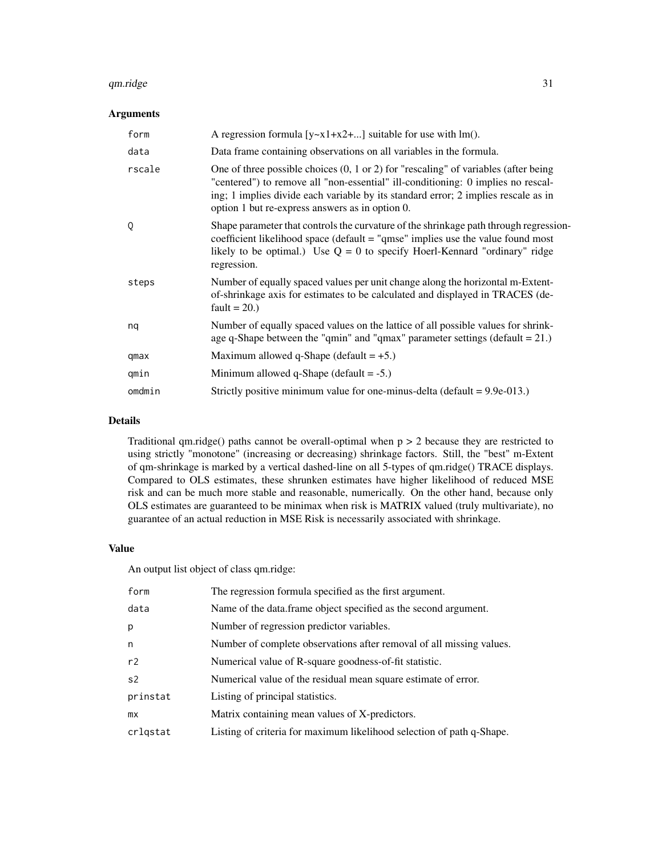#### $q$ m.ridge  $\qquad$  31

# Arguments

| form   | A regression formula $[y-x1+x2+]$ suitable for use with lm().                                                                                                                                                                                                                                                               |
|--------|-----------------------------------------------------------------------------------------------------------------------------------------------------------------------------------------------------------------------------------------------------------------------------------------------------------------------------|
| data   | Data frame containing observations on all variables in the formula.                                                                                                                                                                                                                                                         |
| rscale | One of three possible choices $(0, 1 \text{ or } 2)$ for "rescaling" of variables (after being<br>"centered") to remove all "non-essential" ill-conditioning: 0 implies no rescal-<br>ing; 1 implies divide each variable by its standard error; 2 implies rescale as in<br>option 1 but re-express answers as in option 0. |
| Q      | Shape parameter that controls the curvature of the shrinkage path through regression-<br>coefficient likelihood space (default $=$ "qmse" implies use the value found most<br>likely to be optimal.) Use $Q = 0$ to specify Hoerl-Kennard "ordinary" ridge<br>regression.                                                   |
| steps  | Number of equally spaced values per unit change along the horizontal m-Extent-<br>of-shrinkage axis for estimates to be calculated and displayed in TRACES (de-<br>fault = $20.$ )                                                                                                                                          |
| nq     | Number of equally spaced values on the lattice of all possible values for shrink-<br>age q-Shape between the "qmin" and "qmax" parameter settings (default $= 21$ .)                                                                                                                                                        |
| qmax   | Maximum allowed q-Shape (default $= +5$ .)                                                                                                                                                                                                                                                                                  |
| qmin   | Minimum allowed q-Shape (default $= -5$ .)                                                                                                                                                                                                                                                                                  |
| omdmin | Strictly positive minimum value for one-minus-delta (default = $9.9e-013$ .)                                                                                                                                                                                                                                                |

# Details

Traditional qm.ridge() paths cannot be overall-optimal when  $p > 2$  because they are restricted to using strictly "monotone" (increasing or decreasing) shrinkage factors. Still, the "best" m-Extent of qm-shrinkage is marked by a vertical dashed-line on all 5-types of qm.ridge() TRACE displays. Compared to OLS estimates, these shrunken estimates have higher likelihood of reduced MSE risk and can be much more stable and reasonable, numerically. On the other hand, because only OLS estimates are guaranteed to be minimax when risk is MATRIX valued (truly multivariate), no guarantee of an actual reduction in MSE Risk is necessarily associated with shrinkage.

#### Value

An output list object of class qm.ridge:

| form           | The regression formula specified as the first argument.               |
|----------------|-----------------------------------------------------------------------|
| data           | Name of the data.frame object specified as the second argument.       |
| р              | Number of regression predictor variables.                             |
| n              | Number of complete observations after removal of all missing values.  |
| r2             | Numerical value of R-square goodness-of-fit statistic.                |
| s <sub>2</sub> | Numerical value of the residual mean square estimate of error.        |
| prinstat       | Listing of principal statistics.                                      |
| <b>mx</b>      | Matrix containing mean values of X-predictors.                        |
| crlqstat       | Listing of criteria for maximum likelihood selection of path q-Shape. |
|                |                                                                       |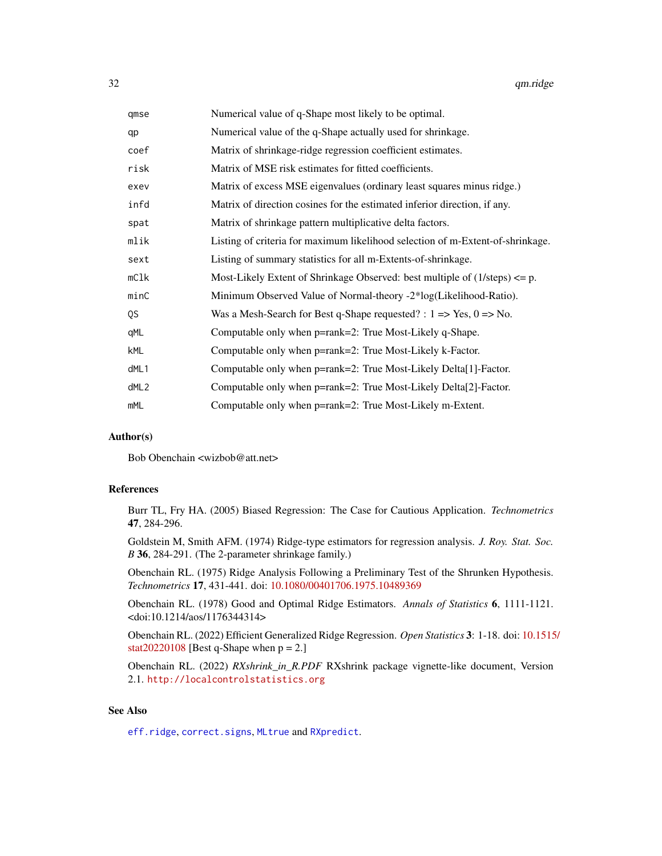<span id="page-31-0"></span>

| Numerical value of q-Shape most likely to be optimal.                                  |
|----------------------------------------------------------------------------------------|
| Numerical value of the q-Shape actually used for shrinkage.                            |
| Matrix of shrinkage-ridge regression coefficient estimates.                            |
| Matrix of MSE risk estimates for fitted coefficients.                                  |
| Matrix of excess MSE eigenvalues (ordinary least squares minus ridge.)                 |
| Matrix of direction cosines for the estimated inferior direction, if any.              |
| Matrix of shrinkage pattern multiplicative delta factors.                              |
| Listing of criteria for maximum likelihood selection of m-Extent-of-shrinkage.         |
| Listing of summary statistics for all m-Extents-of-shrinkage.                          |
| Most-Likely Extent of Shrinkage Observed: best multiple of $(1/\text{steps}) \leq p$ . |
| Minimum Observed Value of Normal-theory -2*log(Likelihood-Ratio).                      |
| Was a Mesh-Search for Best q-Shape requested? : $1 \Rightarrow Yes, 0 \Rightarrow No.$ |
| Computable only when p=rank=2: True Most-Likely q-Shape.                               |
| Computable only when p=rank=2: True Most-Likely k-Factor.                              |
| Computable only when p=rank=2: True Most-Likely Delta[1]-Factor.                       |
| Computable only when p=rank=2: True Most-Likely Delta[2]-Factor.                       |
| Computable only when p=rank=2: True Most-Likely m-Extent.                              |
|                                                                                        |

#### Author(s)

Bob Obenchain <wizbob@att.net>

# References

Burr TL, Fry HA. (2005) Biased Regression: The Case for Cautious Application. *Technometrics* 47, 284-296.

Goldstein M, Smith AFM. (1974) Ridge-type estimators for regression analysis. *J. Roy. Stat. Soc. B* 36, 284-291. (The 2-parameter shrinkage family.)

Obenchain RL. (1975) Ridge Analysis Following a Preliminary Test of the Shrunken Hypothesis. *Technometrics* 17, 431-441. doi: [10.1080/00401706.1975.10489369](https://doi.org/10.1080/00401706.1975.10489369)

Obenchain RL. (1978) Good and Optimal Ridge Estimators. *Annals of Statistics* 6, 1111-1121. <doi:10.1214/aos/1176344314>

Obenchain RL. (2022) Efficient Generalized Ridge Regression. *Open Statistics* 3: 1-18. doi: [10.1515](https://doi.org/10.1515/stat-2022-0108)/ [stat20220108](https://doi.org/10.1515/stat-2022-0108) [Best q-Shape when  $p = 2$ .]

Obenchain RL. (2022) *RXshrink\_in\_R.PDF* RXshrink package vignette-like document, Version 2.1. <http://localcontrolstatistics.org>

# See Also

[eff.ridge](#page-10-1), [correct.signs](#page-5-1), [MLtrue](#page-19-1) and [RXpredict](#page-32-1).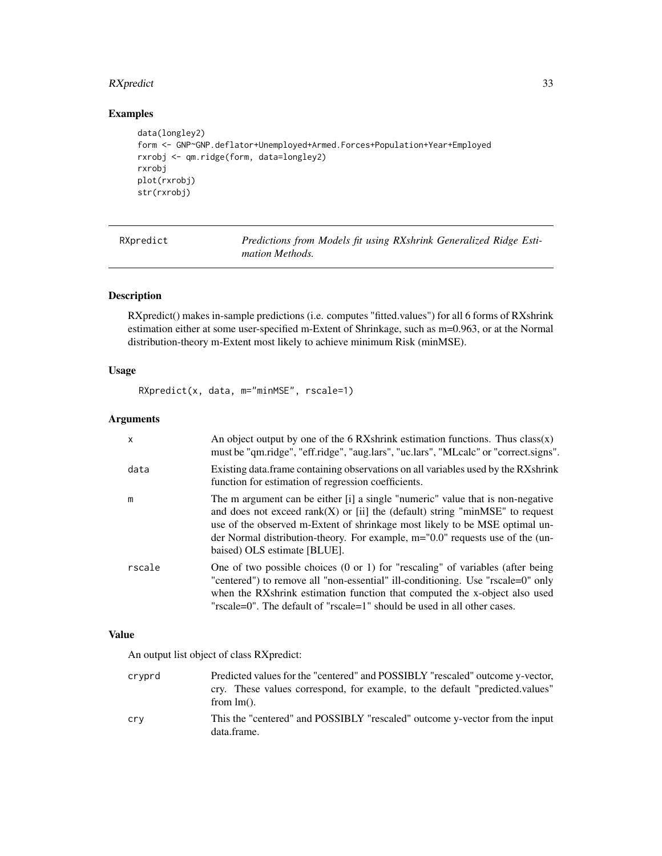# <span id="page-32-0"></span>RXpredict 33

# Examples

```
data(longley2)
form <- GNP~GNP.deflator+Unemployed+Armed.Forces+Population+Year+Employed
rxrobj <- qm.ridge(form, data=longley2)
rxrobj
plot(rxrobj)
str(rxrobj)
```
<span id="page-32-1"></span>RXpredict *Predictions from Models fit using RXshrink Generalized Ridge Estimation Methods.*

# Description

RXpredict() makes in-sample predictions (i.e. computes "fitted.values") for all 6 forms of RXshrink estimation either at some user-specified m-Extent of Shrinkage, such as m=0.963, or at the Normal distribution-theory m-Extent most likely to achieve minimum Risk (minMSE).

# Usage

RXpredict(x, data, m="minMSE", rscale=1)

# Arguments

| $\mathsf{x}$ | An object output by one of the 6 RXshrink estimation functions. Thus class(x)<br>must be "qm.ridge", "eff.ridge", "aug.lars", "uc.lars", "MLcalc" or "correct.signs".                                                                                                                                                                                                |
|--------------|----------------------------------------------------------------------------------------------------------------------------------------------------------------------------------------------------------------------------------------------------------------------------------------------------------------------------------------------------------------------|
| data         | Existing data. frame containing observations on all variables used by the RXshrink<br>function for estimation of regression coefficients.                                                                                                                                                                                                                            |
| m            | The m argument can be either [i] a single "numeric" value that is non-negative<br>and does not exceed $rank(X)$ or [ii] the (default) string "minMSE" to request<br>use of the observed m-Extent of shrinkage most likely to be MSE optimal un-<br>der Normal distribution-theory. For example, $m = "0.0"$ requests use of the (un-<br>baised) OLS estimate [BLUE]. |
| rscale       | One of two possible choices $(0 \text{ or } 1)$ for "rescaling" of variables (after being<br>"centered") to remove all "non-essential" ill-conditioning. Use "rscale=0" only<br>when the RXshrink estimation function that computed the x-object also used<br>"rscale=0". The default of "rscale=1" should be used in all other cases.                               |

### Value

An output list object of class RXpredict:

| crvprd | Predicted values for the "centered" and POSSIBLY "rescaled" outcome y-vector,              |
|--------|--------------------------------------------------------------------------------------------|
|        | cry. These values correspond, for example, to the default "predicted.values"               |
|        | from $lm()$ .                                                                              |
| cry    | This the "centered" and POSSIBLY "rescaled" outcome y-vector from the input<br>data.frame. |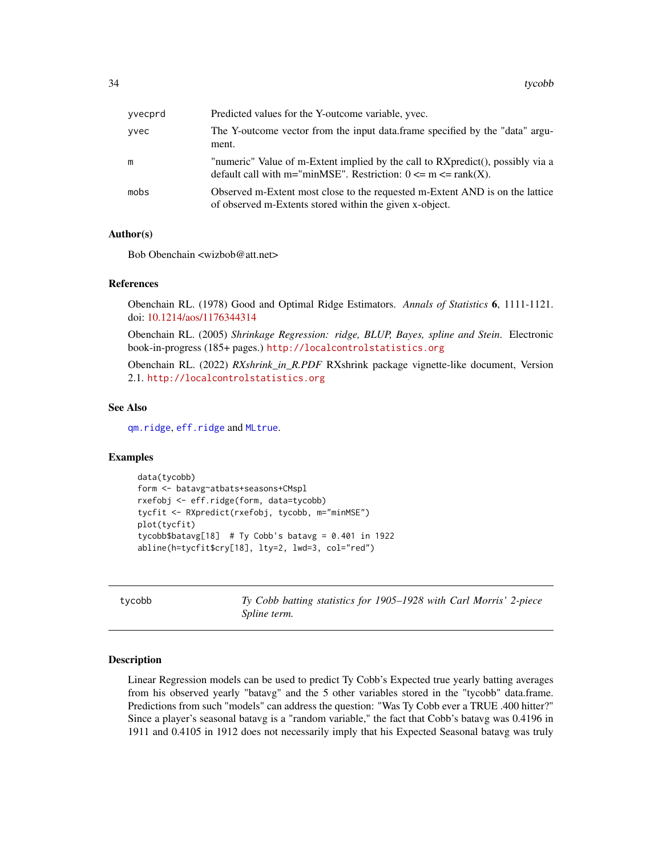<span id="page-33-0"></span>

| yvecprd | Predicted values for the Y-outcome variable, yvec.                                                                                                   |
|---------|------------------------------------------------------------------------------------------------------------------------------------------------------|
| yvec    | The Y-outcome vector from the input data.frame specified by the "data" argu-<br>ment.                                                                |
| m       | "numeric" Value of m-Extent implied by the call to RXpredict(), possibly via a<br>default call with m="minMSE". Restriction: $0 \le m \le rank(X)$ . |
| mobs    | Observed m-Extent most close to the requested m-Extent AND is on the lattice<br>of observed m-Extents stored within the given x-object.              |

#### Author(s)

Bob Obenchain <wizbob@att.net>

# References

Obenchain RL. (1978) Good and Optimal Ridge Estimators. *Annals of Statistics* 6, 1111-1121. doi: [10.1214/aos/1176344314](https://doi.org/10.1214/aos/1176344314)

Obenchain RL. (2005) *Shrinkage Regression: ridge, BLUP, Bayes, spline and Stein*. Electronic book-in-progress (185+ pages.) <http://localcontrolstatistics.org>

Obenchain RL. (2022) *RXshrink\_in\_R.PDF* RXshrink package vignette-like document, Version 2.1. <http://localcontrolstatistics.org>

# See Also

[qm.ridge](#page-29-1), [eff.ridge](#page-10-1) and [MLtrue](#page-19-1).

# Examples

```
data(tycobb)
form <- batavg~atbats+seasons+CMspl
rxefobj <- eff.ridge(form, data=tycobb)
tycfit <- RXpredict(rxefobj, tycobb, m="minMSE")
plot(tycfit)
tycobb$batavg[18] # Ty Cobb's batavg = 0.401 in 1922
abline(h=tycfit$cry[18], lty=2, lwd=3, col="red")
```
tycobb *Ty Cobb batting statistics for 1905–1928 with Carl Morris' 2-piece Spline term.*

#### Description

Linear Regression models can be used to predict Ty Cobb's Expected true yearly batting averages from his observed yearly "batavg" and the 5 other variables stored in the "tycobb" data.frame. Predictions from such "models" can address the question: "Was Ty Cobb ever a TRUE .400 hitter?" Since a player's seasonal batavg is a "random variable," the fact that Cobb's batavg was 0.4196 in 1911 and 0.4105 in 1912 does not necessarily imply that his Expected Seasonal batavg was truly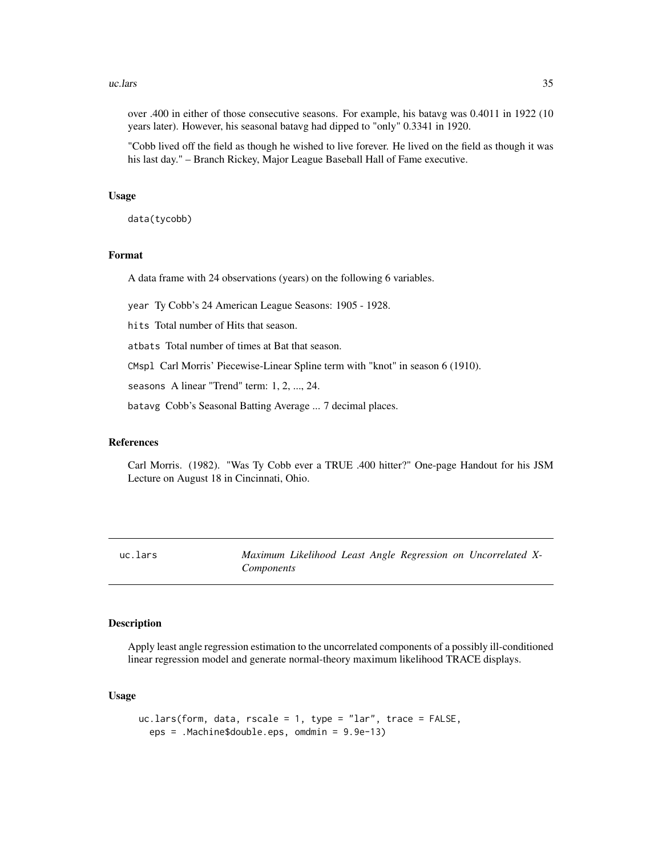#### <span id="page-34-0"></span> $\mu$ uc.lars  $\frac{35}{2}$

over .400 in either of those consecutive seasons. For example, his batavg was 0.4011 in 1922 (10 years later). However, his seasonal batavg had dipped to "only" 0.3341 in 1920.

"Cobb lived off the field as though he wished to live forever. He lived on the field as though it was his last day." – Branch Rickey, Major League Baseball Hall of Fame executive.

#### Usage

data(tycobb)

# Format

A data frame with 24 observations (years) on the following 6 variables.

year Ty Cobb's 24 American League Seasons: 1905 - 1928.

hits Total number of Hits that season.

atbats Total number of times at Bat that season.

CMspl Carl Morris' Piecewise-Linear Spline term with "knot" in season 6 (1910).

seasons A linear "Trend" term: 1, 2, ..., 24.

batavg Cobb's Seasonal Batting Average ... 7 decimal places.

#### References

Carl Morris. (1982). "Was Ty Cobb ever a TRUE .400 hitter?" One-page Handout for his JSM Lecture on August 18 in Cincinnati, Ohio.

<span id="page-34-1"></span>uc.lars *Maximum Likelihood Least Angle Regression on Uncorrelated X-Components*

# Description

Apply least angle regression estimation to the uncorrelated components of a possibly ill-conditioned linear regression model and generate normal-theory maximum likelihood TRACE displays.

#### Usage

```
uc.lars(form, data, rscale = 1, type = "lar", trace = FALSE,
 eps = .Machine$double.eps, omdmin = 9.9e-13)
```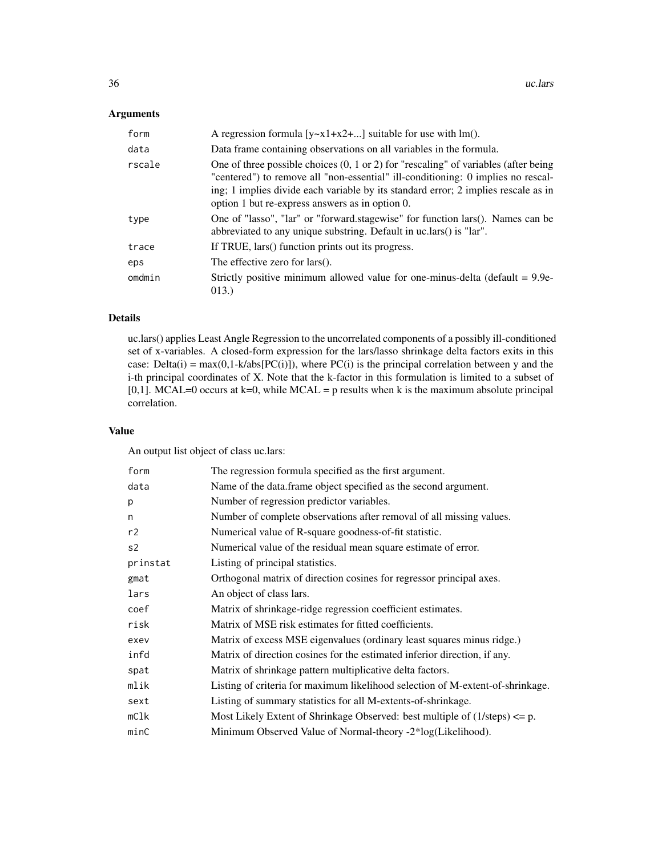# Arguments

| form   | A regression formula $[y-x1+x2+]$ suitable for use with lm().                                                                                                                                                                                                                                                               |
|--------|-----------------------------------------------------------------------------------------------------------------------------------------------------------------------------------------------------------------------------------------------------------------------------------------------------------------------------|
| data   | Data frame containing observations on all variables in the formula.                                                                                                                                                                                                                                                         |
| rscale | One of three possible choices $(0, 1 \text{ or } 2)$ for "rescaling" of variables (after being<br>"centered") to remove all "non-essential" ill-conditioning: 0 implies no rescal-<br>ing; 1 implies divide each variable by its standard error; 2 implies rescale as in<br>option 1 but re-express answers as in option 0. |
| type   | One of "lasso", "lar" or "forward.stagewise" for function lars(). Names can be<br>abbreviated to any unique substring. Default in uc.lars() is "lar".                                                                                                                                                                       |
| trace  | If TRUE, lars() function prints out its progress.                                                                                                                                                                                                                                                                           |
| eps    | The effective zero for lars().                                                                                                                                                                                                                                                                                              |
| omdmin | Strictly positive minimum allowed value for one-minus-delta (default $= 9.9e$ -<br>013.)                                                                                                                                                                                                                                    |

# Details

uc.lars() applies Least Angle Regression to the uncorrelated components of a possibly ill-conditioned set of x-variables. A closed-form expression for the lars/lasso shrinkage delta factors exits in this case: Delta(i) =  $max(0,1-k/abs[PC(i)])$ , where PC(i) is the principal correlation between y and the i-th principal coordinates of X. Note that the k-factor in this formulation is limited to a subset of [0,1]. MCAL=0 occurs at  $k=0$ , while MCAL = p results when k is the maximum absolute principal correlation.

# Value

An output list object of class uc.lars:

| form           | The regression formula specified as the first argument.                                |
|----------------|----------------------------------------------------------------------------------------|
| data           | Name of the data.frame object specified as the second argument.                        |
| p              | Number of regression predictor variables.                                              |
| n              | Number of complete observations after removal of all missing values.                   |
| r2             | Numerical value of R-square goodness-of-fit statistic.                                 |
| s <sub>2</sub> | Numerical value of the residual mean square estimate of error.                         |
| prinstat       | Listing of principal statistics.                                                       |
| gmat           | Orthogonal matrix of direction cosines for regressor principal axes.                   |
| lars           | An object of class lars.                                                               |
| coef           | Matrix of shrinkage-ridge regression coefficient estimates.                            |
| risk           | Matrix of MSE risk estimates for fitted coefficients.                                  |
| exev           | Matrix of excess MSE eigenvalues (ordinary least squares minus ridge.)                 |
| infd           | Matrix of direction cosines for the estimated inferior direction, if any.              |
| spat           | Matrix of shrinkage pattern multiplicative delta factors.                              |
| mlik           | Listing of criteria for maximum likelihood selection of M-extent-of-shrinkage.         |
| sext           | Listing of summary statistics for all M-extents-of-shrinkage.                          |
| mC1k           | Most Likely Extent of Shrinkage Observed: best multiple of $(1/\text{steps}) \leq p$ . |
| minC           | Minimum Observed Value of Normal-theory -2*log(Likelihood).                            |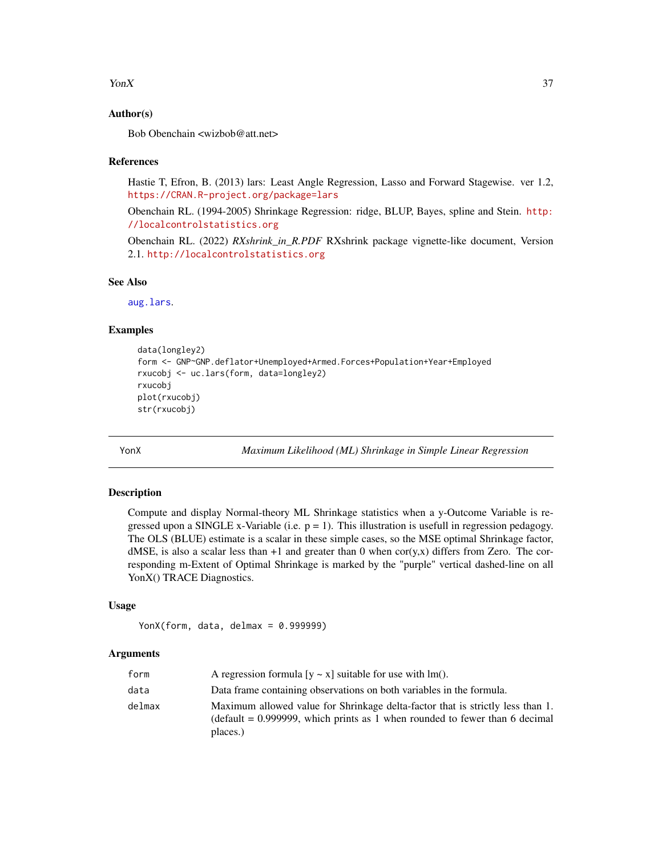#### <span id="page-36-0"></span> $\gamma$  YonX 37

# Author(s)

Bob Obenchain <wizbob@att.net>

# References

Hastie T, Efron, B. (2013) lars: Least Angle Regression, Lasso and Forward Stagewise. ver 1.2, <https://CRAN.R-project.org/package=lars>

Obenchain RL. (1994-2005) Shrinkage Regression: ridge, BLUP, Bayes, spline and Stein. [http:](http://localcontrolstatistics.org) [//localcontrolstatistics.org](http://localcontrolstatistics.org)

Obenchain RL. (2022) *RXshrink\_in\_R.PDF* RXshrink package vignette-like document, Version 2.1. <http://localcontrolstatistics.org>

# See Also

[aug.lars](#page-3-1).

# Examples

```
data(longley2)
form <- GNP~GNP.deflator+Unemployed+Armed.Forces+Population+Year+Employed
rxucobj <- uc.lars(form, data=longley2)
rxucobj
plot(rxucobj)
str(rxucobj)
```
YonX *Maximum Likelihood (ML) Shrinkage in Simple Linear Regression*

#### Description

Compute and display Normal-theory ML Shrinkage statistics when a y-Outcome Variable is regressed upon a SINGLE x-Variable (i.e.  $p = 1$ ). This illustration is usefull in regression pedagogy. The OLS (BLUE) estimate is a scalar in these simple cases, so the MSE optimal Shrinkage factor, dMSE, is also a scalar less than  $+1$  and greater than 0 when cor(y,x) differs from Zero. The corresponding m-Extent of Optimal Shrinkage is marked by the "purple" vertical dashed-line on all YonX() TRACE Diagnostics.

# Usage

```
YonX(form, data, delmax = 0.999999)
```
#### Arguments

| form   | A regression formula $[y \sim x]$ suitable for use with lm().                                                                                                                |
|--------|------------------------------------------------------------------------------------------------------------------------------------------------------------------------------|
| data   | Data frame containing observations on both variables in the formula.                                                                                                         |
| delmax | Maximum allowed value for Shrinkage delta-factor that is strictly less than 1.<br>(default $= 0.999999$ , which prints as 1 when rounded to fewer than 6 decimal<br>places.) |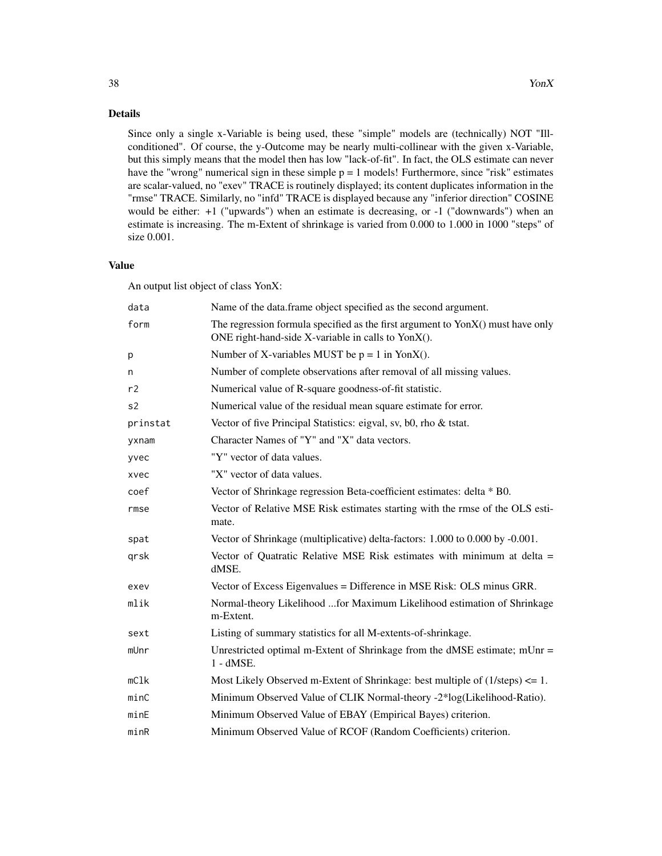Since only a single x-Variable is being used, these "simple" models are (technically) NOT "Illconditioned". Of course, the y-Outcome may be nearly multi-collinear with the given x-Variable, but this simply means that the model then has low "lack-of-fit". In fact, the OLS estimate can never have the "wrong" numerical sign in these simple  $p = 1$  models! Furthermore, since "risk" estimates are scalar-valued, no "exev" TRACE is routinely displayed; its content duplicates information in the "rmse" TRACE. Similarly, no "infd" TRACE is displayed because any "inferior direction" COSINE would be either: +1 ("upwards") when an estimate is decreasing, or -1 ("downwards") when an estimate is increasing. The m-Extent of shrinkage is varied from 0.000 to 1.000 in 1000 "steps" of size 0.001.

#### Value

An output list object of class YonX:

| data           | Name of the data.frame object specified as the second argument.                                                                                |
|----------------|------------------------------------------------------------------------------------------------------------------------------------------------|
| form           | The regression formula specified as the first argument to $\text{YonX}()$ must have only<br>ONE right-hand-side X-variable in calls to YonX(). |
| p              | Number of X-variables MUST be $p = 1$ in YonX().                                                                                               |
| n              | Number of complete observations after removal of all missing values.                                                                           |
| r2             | Numerical value of R-square goodness-of-fit statistic.                                                                                         |
| s <sub>2</sub> | Numerical value of the residual mean square estimate for error.                                                                                |
| prinstat       | Vector of five Principal Statistics: eigval, sv, b0, rho & tstat.                                                                              |
| yxnam          | Character Names of "Y" and "X" data vectors.                                                                                                   |
| yvec           | "Y" vector of data values.                                                                                                                     |
| xvec           | "X" vector of data values.                                                                                                                     |
| coef           | Vector of Shrinkage regression Beta-coefficient estimates: delta * B0.                                                                         |
| rmse           | Vector of Relative MSE Risk estimates starting with the rmse of the OLS esti-<br>mate.                                                         |
| spat           | Vector of Shrinkage (multiplicative) delta-factors: 1.000 to 0.000 by -0.001.                                                                  |
| qrsk           | Vector of Quatratic Relative MSE Risk estimates with minimum at delta =<br>dMSE.                                                               |
| exev           | Vector of Excess Eigenvalues = Difference in MSE Risk: OLS minus GRR.                                                                          |
| mlik           | Normal-theory Likelihood for Maximum Likelihood estimation of Shrinkage<br>m-Extent.                                                           |
| sext           | Listing of summary statistics for all M-extents-of-shrinkage.                                                                                  |
| mUnr           | Unrestricted optimal m-Extent of Shrinkage from the dMSE estimate; $mUnr =$<br>$1 - dMSE$ .                                                    |
| mC1k           | Most Likely Observed m-Extent of Shrinkage: best multiple of $(1/\text{steps}) \leq 1$ .                                                       |
| minC           | Minimum Observed Value of CLIK Normal-theory -2*log(Likelihood-Ratio).                                                                         |
| minE           | Minimum Observed Value of EBAY (Empirical Bayes) criterion.                                                                                    |
| minR           | Minimum Observed Value of RCOF (Random Coefficients) criterion.                                                                                |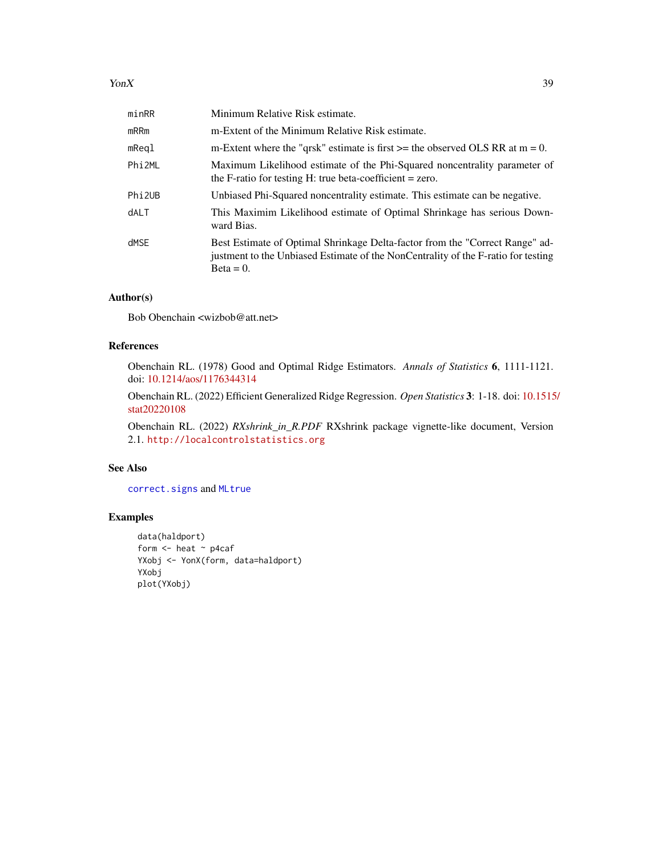#### <span id="page-38-0"></span> $\gamma$  YonX 39

| minRR              | Minimum Relative Risk estimate.                                                                                                                                                   |
|--------------------|-----------------------------------------------------------------------------------------------------------------------------------------------------------------------------------|
| $m$ RR $m$         | m-Extent of the Minimum Relative Risk estimate.                                                                                                                                   |
| mReql              | m-Extent where the "qrsk" estimate is first $\geq$ the observed OLS RR at m = 0.                                                                                                  |
| Phi <sub>2ML</sub> | Maximum Likelihood estimate of the Phi-Squared noncentrality parameter of<br>the F-ratio for testing H: true beta-coefficient $=$ zero.                                           |
| Phi <sub>2UB</sub> | Unbiased Phi-Squared noncentrality estimate. This estimate can be negative.                                                                                                       |
| <b>dALT</b>        | This Maximim Likelihood estimate of Optimal Shrinkage has serious Down-<br>ward Bias.                                                                                             |
| dMSE               | Best Estimate of Optimal Shrinkage Delta-factor from the "Correct Range" ad-<br>justment to the Unbiased Estimate of the NonCentrality of the F-ratio for testing<br>$Beta = 0$ . |

# Author(s)

Bob Obenchain <wizbob@att.net>

# References

Obenchain RL. (1978) Good and Optimal Ridge Estimators. *Annals of Statistics* 6, 1111-1121. doi: [10.1214/aos/1176344314](https://doi.org/10.1214/aos/1176344314)

Obenchain RL. (2022) Efficient Generalized Ridge Regression. *Open Statistics* 3: 1-18. doi: [10.1515](https://doi.org/10.1515/stat-2022-0108)/ [stat20220108](https://doi.org/10.1515/stat-2022-0108)

Obenchain RL. (2022) *RXshrink\_in\_R.PDF* RXshrink package vignette-like document, Version 2.1. <http://localcontrolstatistics.org>

#### See Also

[correct.signs](#page-5-1) and [MLtrue](#page-19-1)

```
data(haldport)
form <- heat ~ p4caf
YXobj <- YonX(form, data=haldport)
YXobj
plot(YXobj)
```